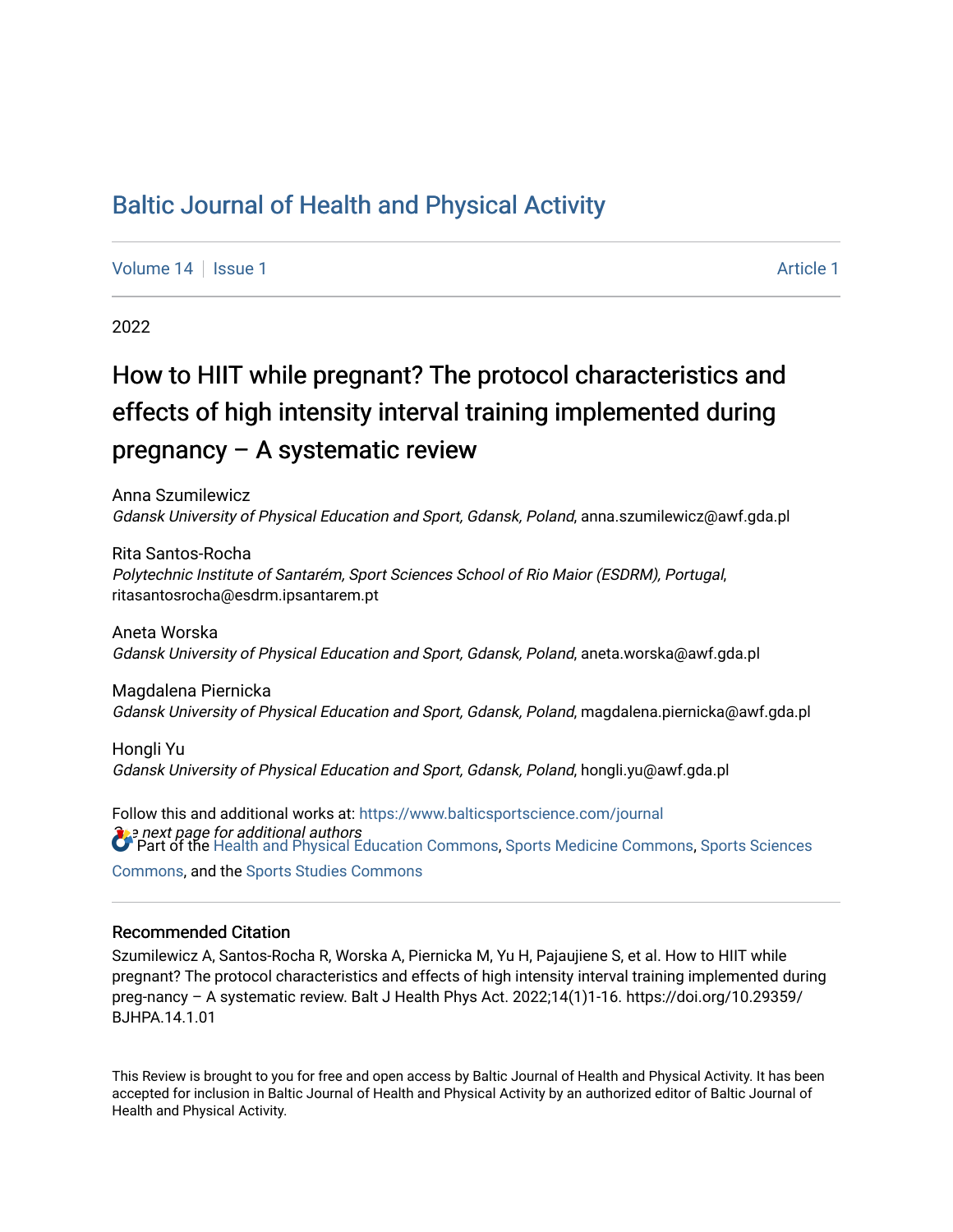# [Baltic Journal of Health and Physical Activity](https://www.balticsportscience.com/journal)

[Volume 14](https://www.balticsportscience.com/journal/vol14) Suitsue 1 [Article 1](https://www.balticsportscience.com/journal/vol14/iss1/1) Article 1 Article 1 Article 1 Article 1 Article 1 Article 1

2022

# How to HIIT while pregnant? The protocol characteristics and effects of high intensity interval training implemented during pregnancy – A systematic review

Anna Szumilewicz Gdansk University of Physical Education and Sport, Gdansk, Poland, anna.szumilewicz@awf.gda.pl

Rita Santos-Rocha Polytechnic Institute of Santarém, Sport Sciences School of Rio Maior (ESDRM), Portugal, ritasantosrocha@esdrm.ipsantarem.pt

Aneta Worska Gdansk University of Physical Education and Sport, Gdansk, Poland, aneta.worska@awf.gda.pl

Magdalena Piernicka Gdansk University of Physical Education and Sport, Gdansk, Poland, magdalena.piernicka@awf.gda.pl

Hongli Yu Gdansk University of Physical Education and Sport, Gdansk, Poland, hongli.yu@awf.gda.pl

**See next page for additional authors** Follow this and additional works at: [https://www.balticsportscience.com/journal](https://www.balticsportscience.com/journal?utm_source=www.balticsportscience.com%2Fjournal%2Fvol14%2Fiss1%2F1&utm_medium=PDF&utm_campaign=PDFCoverPages)  Part of the [Health and Physical Education Commons](https://network.bepress.com/hgg/discipline/1327?utm_source=www.balticsportscience.com%2Fjournal%2Fvol14%2Fiss1%2F1&utm_medium=PDF&utm_campaign=PDFCoverPages), [Sports Medicine Commons,](https://network.bepress.com/hgg/discipline/1331?utm_source=www.balticsportscience.com%2Fjournal%2Fvol14%2Fiss1%2F1&utm_medium=PDF&utm_campaign=PDFCoverPages) [Sports Sciences](https://network.bepress.com/hgg/discipline/759?utm_source=www.balticsportscience.com%2Fjournal%2Fvol14%2Fiss1%2F1&utm_medium=PDF&utm_campaign=PDFCoverPages) [Commons](https://network.bepress.com/hgg/discipline/759?utm_source=www.balticsportscience.com%2Fjournal%2Fvol14%2Fiss1%2F1&utm_medium=PDF&utm_campaign=PDFCoverPages), and the [Sports Studies Commons](https://network.bepress.com/hgg/discipline/1198?utm_source=www.balticsportscience.com%2Fjournal%2Fvol14%2Fiss1%2F1&utm_medium=PDF&utm_campaign=PDFCoverPages) 

### Recommended Citation

Szumilewicz A, Santos-Rocha R, Worska A, Piernicka M, Yu H, Pajaujiene S, et al. How to HIIT while pregnant? The protocol characteristics and effects of high intensity interval training implemented during preg-nancy – A systematic review. Balt J Health Phys Act. 2022;14(1)1-16. https://doi.org/10.29359/ BJHPA.14.1.01

This Review is brought to you for free and open access by Baltic Journal of Health and Physical Activity. It has been accepted for inclusion in Baltic Journal of Health and Physical Activity by an authorized editor of Baltic Journal of Health and Physical Activity.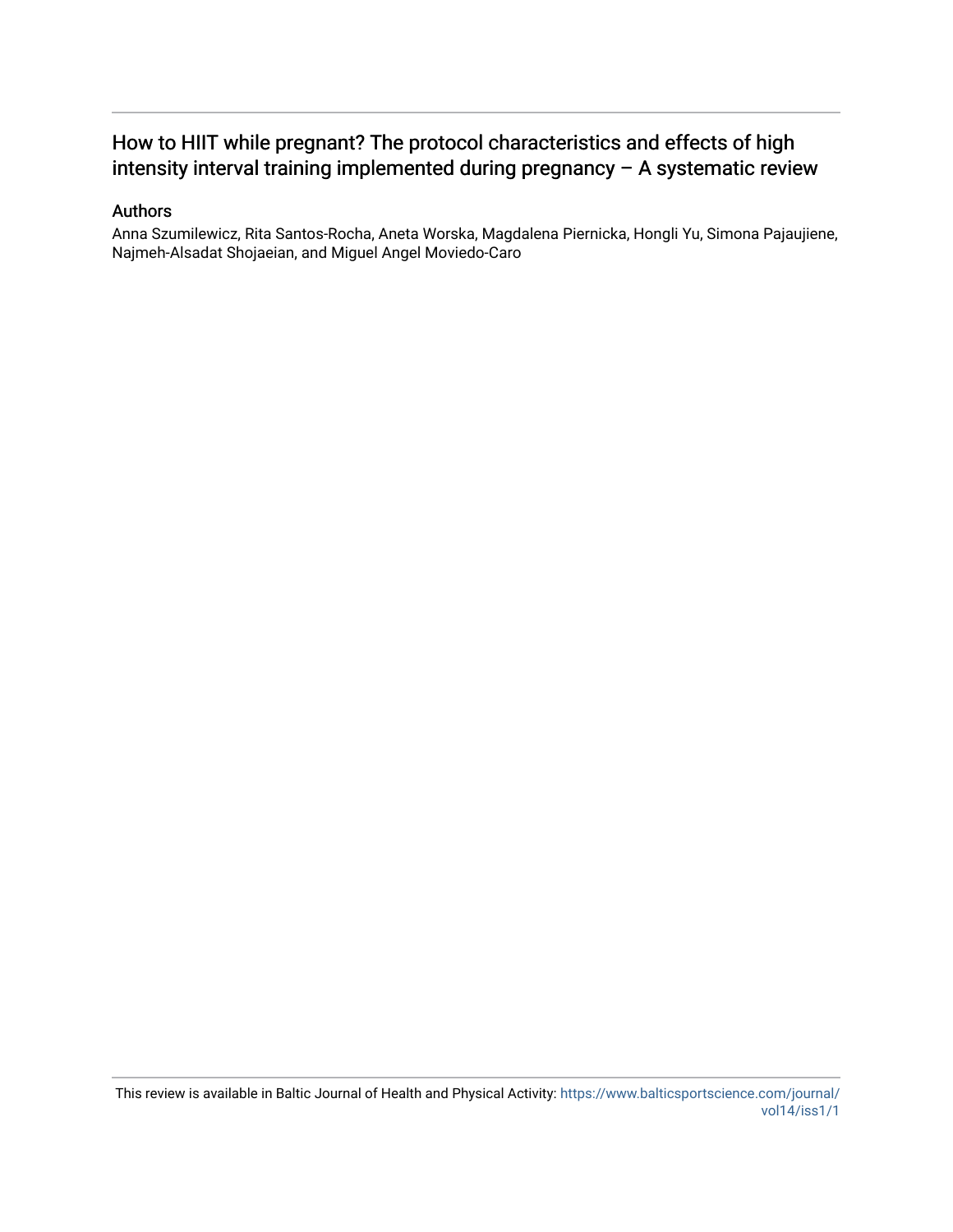## How to HIIT while pregnant? The protocol characteristics and effects of high intensity interval training implemented during pregnancy – A systematic review

## Authors

Anna Szumilewicz, Rita Santos-Rocha, Aneta Worska, Magdalena Piernicka, Hongli Yu, Simona Pajaujiene, Najmeh-Alsadat Shojaeian, and Miguel Angel Moviedo-Caro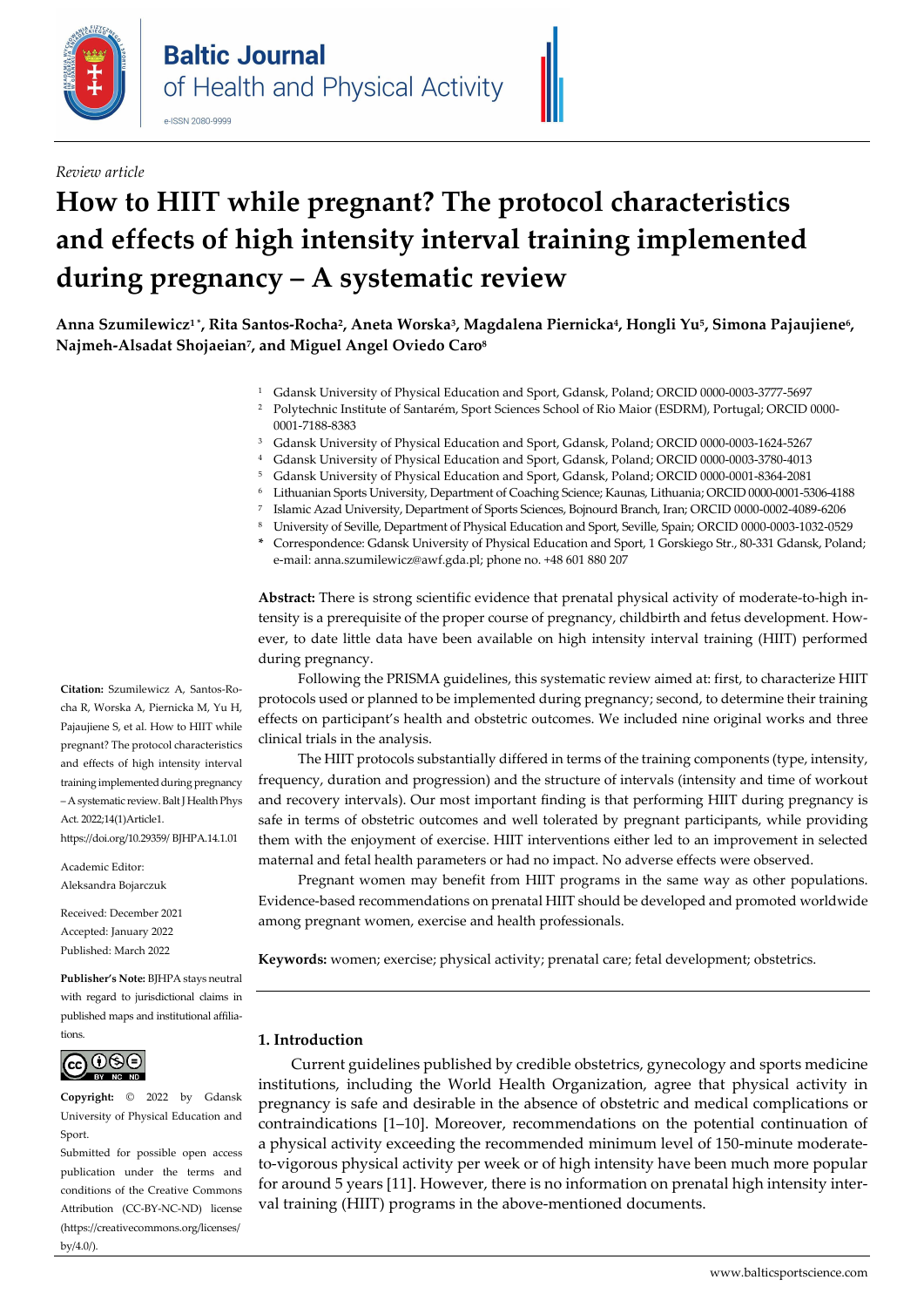

*Review article*

# **How to HIIT while pregnant? The protocol characteristics and effects of high intensity interval training implemented during pregnancy – A systematic review**

**Anna Szumilewicz1 \*, Rita Santos-Rocha2, Aneta Worska3, Magdalena Piernicka4, Hongli Yu5, Simona Pajaujiene6, Najmeh-Alsadat Shojaeian7, and Miguel Angel Oviedo Caro8** 

- <sup>1</sup> Gdansk University of Physical Education and Sport, Gdansk, Poland; ORCI[D 0000-0003-3777-5697](https://orcid.org/0000-0003-3777-5697)
- <sup>2</sup> Polytechnic Institute of Santarém, Sport Sciences School of Rio Maior (ESDRM), Portugal; ORCID [0000-](https://orcid.org/0000-0001-7188-8383) [0001-7188-8383](https://orcid.org/0000-0001-7188-8383)
- <sup>3</sup> Gdansk University of Physical Education and Sport, Gdansk, Poland; ORCI[D 0000-0003-1624-5267](https://orcid.org/0000-0003-1624-5267)
- <sup>4</sup> Gdansk University of Physical Education and Sport, Gdansk, Poland; ORCI[D 0000-0003-3780-4013](https://orcid.org/0000-0003-3780-4013)
- <sup>5</sup> Gdansk University of Physical Education and Sport, Gdansk, Poland; ORCI[D 0000-0001-8364-2081](https://orcid.org/0000-0001-8364-2081)
- 6 Lithuanian Sports University, Department of Coaching Science; Kaunas, Lithuania; ORCI[D 0000-0001-5306-4188](https://orcid.org/0000-0001-5306-4188)
- 7 Islamic Azad University, Department of Sports Sciences, Bojnourd Branch, Iran; ORCI[D 0000-0002-4089-6206](https://orcid.org/0000-0002-4089-6206)
- 8 University of Seville, Department of Physical Education and Sport, Seville, Spain; ORCI[D 0000-0003-1032-0529](https://orcid.org/0000-0003-1032-0529)
- **\*** Correspondence: Gdansk University of Physical Education and Sport, 1 Gorskiego Str., 80-331 Gdansk, Poland; e-mail: anna.szumilewicz@awf.gda.pl; phone no. +48 601 880 207

**Abstract:** There is strong scientific evidence that prenatal physical activity of moderate-to-high intensity is a prerequisite of the proper course of pregnancy, childbirth and fetus development. However, to date little data have been available on high intensity interval training (HIIT) performed during pregnancy.

Following the PRISMA guidelines, this systematic review aimed at: first, to characterize HIIT protocols used or planned to be implemented during pregnancy; second, to determine their training effects on participant's health and obstetric outcomes. We included nine original works and three clinical trials in the analysis.

The HIIT protocols substantially differed in terms of the training components (type, intensity, frequency, duration and progression) and the structure of intervals (intensity and time of workout and recovery intervals). Our most important finding is that performing HIIT during pregnancy is safe in terms of obstetric outcomes and well tolerated by pregnant participants, while providing them with the enjoyment of exercise. HIIT interventions either led to an improvement in selected maternal and fetal health parameters or had no impact. No adverse effects were observed.

Pregnant women may benefit from HIIT programs in the same way as other populations. Evidence-based recommendations on prenatal HIIT should be developed and promoted worldwide among pregnant women, exercise and health professionals.

**Keywords:** women; exercise; physical activity; prenatal care; fetal development; obstetrics.

### **1. Introduction**

Current guidelines published by credible obstetrics, gynecology and sports medicine institutions, including the World Health Organization, agree that physical activity in pregnancy is safe and desirable in the absence of obstetric and medical complications or contraindications [1–10]. Moreover, recommendations on the potential continuation of a physical activity exceeding the recommended minimum level of 150-minute moderateto-vigorous physical activity per week or of high intensity have been much more popular for around 5 years [11]. However, there is no information on prenatal high intensity interval training (HIIT) programs in the above-mentioned documents.

**Citation:** Szumilewicz A, Santos-Rocha R, Worska A, Piernicka M, Yu H, Pajaujiene S, et al. How to HIIT while pregnant? The protocol characteristics and effects of high intensity interval training implemented during pregnancy – A systematic review. Balt J Health Phys Act. 2022;14(1)Article1. https://doi.org/10.29359/ BJHPA.14.1.01

Academic Editor: Aleksandra Bojarczuk

Received: December 2021 Accepted: January 2022 Published: March 2022

**Publisher's Note:** BJHPA stays neutral with regard to jurisdictional claims in published maps and institutional affiliations.



**Copyright:** © 2022 by Gdansk University of Physical Education and Sport.

Submitted for possible open access publication under the terms and conditions of the Creative Commons Attribution (CC-BY-NC-ND) license (https://creativecommons.org/licenses/ by/4.0/).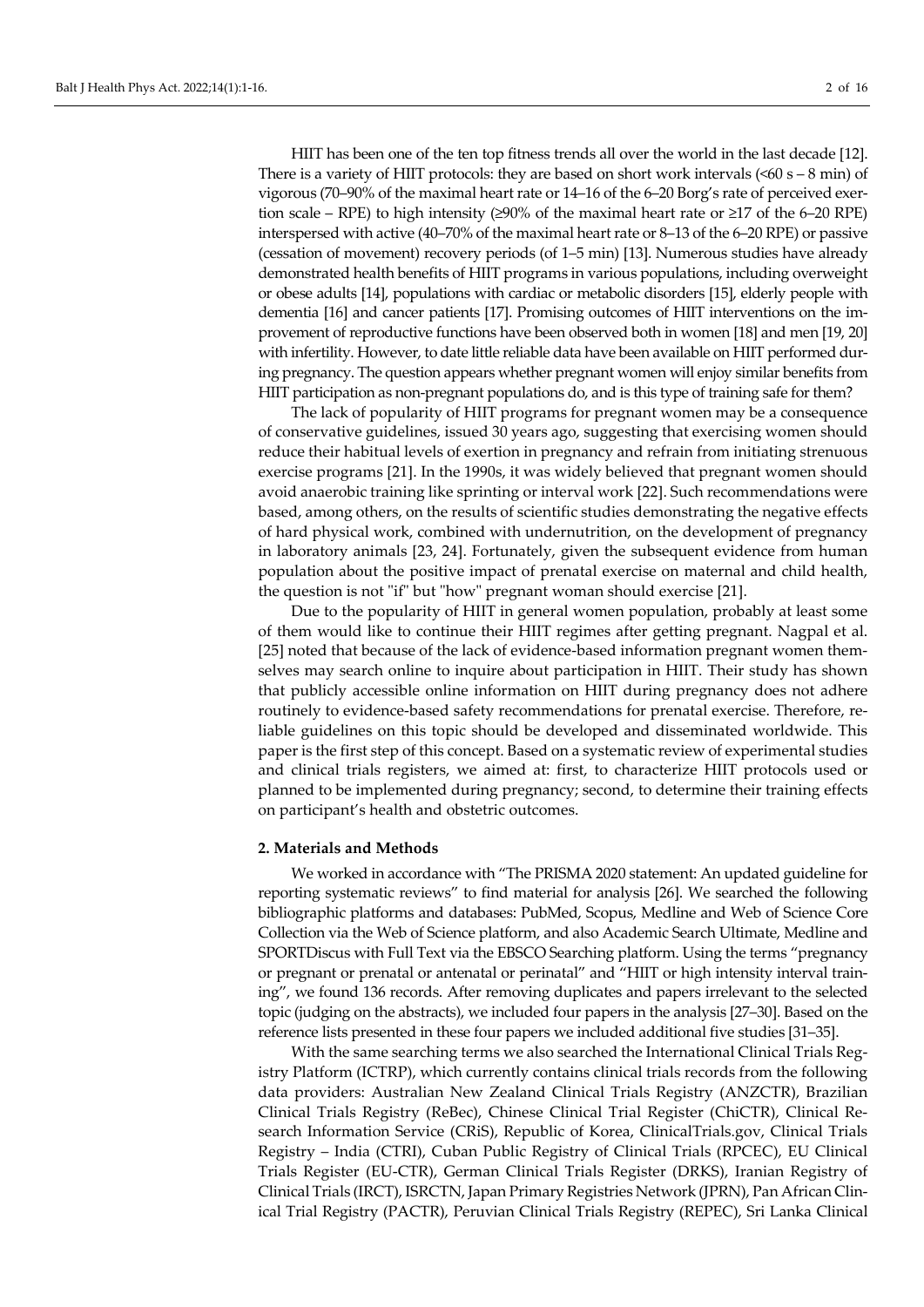HIIT has been one of the ten top fitness trends all over the world in the last decade [12]. There is a variety of HIIT protocols: they are based on short work intervals  $\leq 60$  s – 8 min) of vigorous (70–90% of the maximal heart rate or 14–16 of the 6–20 Borg's rate of perceived exertion scale – RPE) to high intensity (≥90% of the maximal heart rate or ≥17 of the 6–20 RPE) interspersed with active (40–70% of the maximal heart rate or 8–13 of the 6–20 RPE) or passive (cessation of movement) recovery periods (of 1–5 min) [13]. Numerous studies have already demonstrated health benefits of HIIT programs in various populations, including overweight or obese adults [14], populations with cardiac or metabolic disorders [15], elderly people with dementia [16] and cancer patients [17]. Promising outcomes of HIIT interventions on the improvement of reproductive functions have been observed both in women [18] and men [19, 20] with infertility. However, to date little reliable data have been available on HIIT performed during pregnancy. The question appears whether pregnant women will enjoy similar benefits from HIIT participation as non-pregnant populations do, and is this type of training safe for them?

The lack of popularity of HIIT programs for pregnant women may be a consequence of conservative guidelines, issued 30 years ago, suggesting that exercising women should reduce their habitual levels of exertion in pregnancy and refrain from initiating strenuous exercise programs [21]. In the 1990s, it was widely believed that pregnant women should avoid anaerobic training like sprinting or interval work [22]. Such recommendations were based, among others, on the results of scientific studies demonstrating the negative effects of hard physical work, combined with undernutrition, on the development of pregnancy in laboratory animals [23, 24]. Fortunately, given the subsequent evidence from human population about the positive impact of prenatal exercise on maternal and child health, the question is not "if" but "how" pregnant woman should exercise [21].

Due to the popularity of HIIT in general women population, probably at least some of them would like to continue their HIIT regimes after getting pregnant. Nagpal et al. [25] noted that because of the lack of evidence-based information pregnant women themselves may search online to inquire about participation in HIIT. Their study has shown that publicly accessible online information on HIIT during pregnancy does not adhere routinely to evidence-based safety recommendations for prenatal exercise. Therefore, reliable guidelines on this topic should be developed and disseminated worldwide. This paper is the first step of this concept. Based on a systematic review of experimental studies and clinical trials registers, we aimed at: first, to characterize HIIT protocols used or planned to be implemented during pregnancy; second, to determine their training effects on participant's health and obstetric outcomes.

#### **2. Materials and Methods**

We worked in accordance with "The PRISMA 2020 statement: An updated guideline for reporting systematic reviews" to find material for analysis [26]. We searched the following bibliographic platforms and databases: PubMed, Scopus, Medline and Web of Science Core Collection via the Web of Science platform, and also Academic Search Ultimate, Medline and SPORTDiscus with Full Text via the EBSCO Searching platform. Using the terms "pregnancy or pregnant or prenatal or antenatal or perinatal" and "HIIT or high intensity interval training", we found 136 records. After removing duplicates and papers irrelevant to the selected topic (judging on the abstracts), we included four papers in the analysis [27–30]. Based on the reference lists presented in these four papers we included additional five studies [31–35].

With the same searching terms we also searched the International Clinical Trials Registry Platform (ICTRP), which currently contains clinical trials records from the following data providers: Australian New Zealand Clinical Trials Registry (ANZCTR), Brazilian Clinical Trials Registry (ReBec), Chinese Clinical Trial Register (ChiCTR), Clinical Research Information Service (CRiS), Republic of Korea, ClinicalTrials.gov, Clinical Trials Registry – India (CTRI), Cuban Public Registry of Clinical Trials (RPCEC), EU Clinical Trials Register (EU-CTR), German Clinical Trials Register (DRKS), Iranian Registry of Clinical Trials (IRCT), ISRCTN, Japan Primary Registries Network (JPRN), Pan African Clinical Trial Registry (PACTR), Peruvian Clinical Trials Registry (REPEC), Sri Lanka Clinical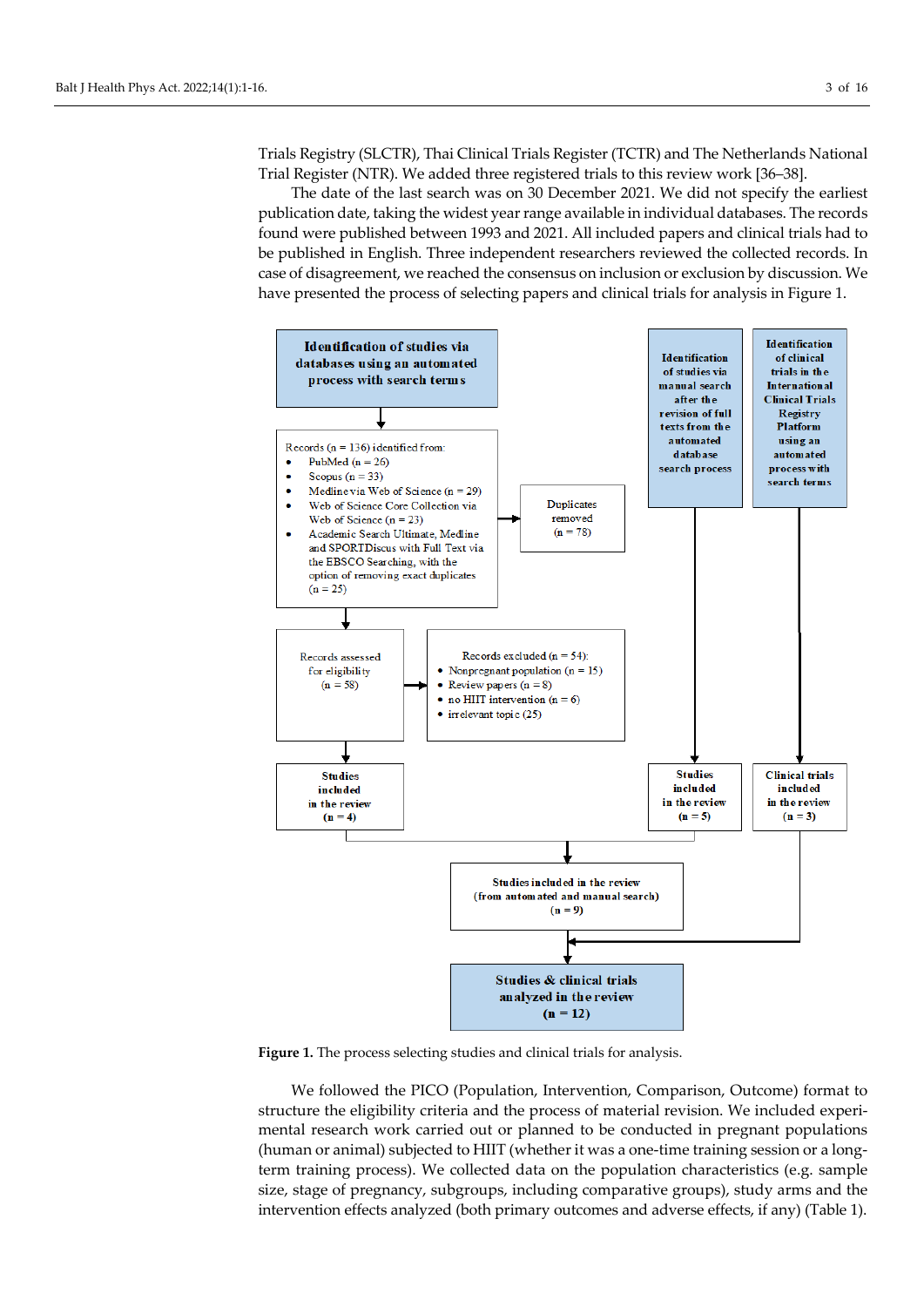Trials Registry (SLCTR), Thai Clinical Trials Register (TCTR) and The Netherlands National Trial Register (NTR). We added three registered trials to this review work [36–38].

The date of the last search was on 30 December 2021. We did not specify the earliest publication date, taking the widest year range available in individual databases. The records found were published between 1993 and 2021. All included papers and clinical trials had to be published in English. Three independent researchers reviewed the collected records. In case of disagreement, we reached the consensus on inclusion or exclusion by discussion. We have presented the process of selecting papers and clinical trials for analysis in Figure 1.



**Figure 1.** The process selecting studies and clinical trials for analysis.

We followed the PICO (Population, Intervention, Comparison, Outcome) format to structure the eligibility criteria and the process of material revision. We included experimental research work carried out or planned to be conducted in pregnant populations (human or animal) subjected to HIIT (whether it was a one-time training session or a longterm training process). We collected data on the population characteristics (e.g. sample size, stage of pregnancy, subgroups, including comparative groups), study arms and the intervention effects analyzed (both primary outcomes and adverse effects, if any) (Table 1).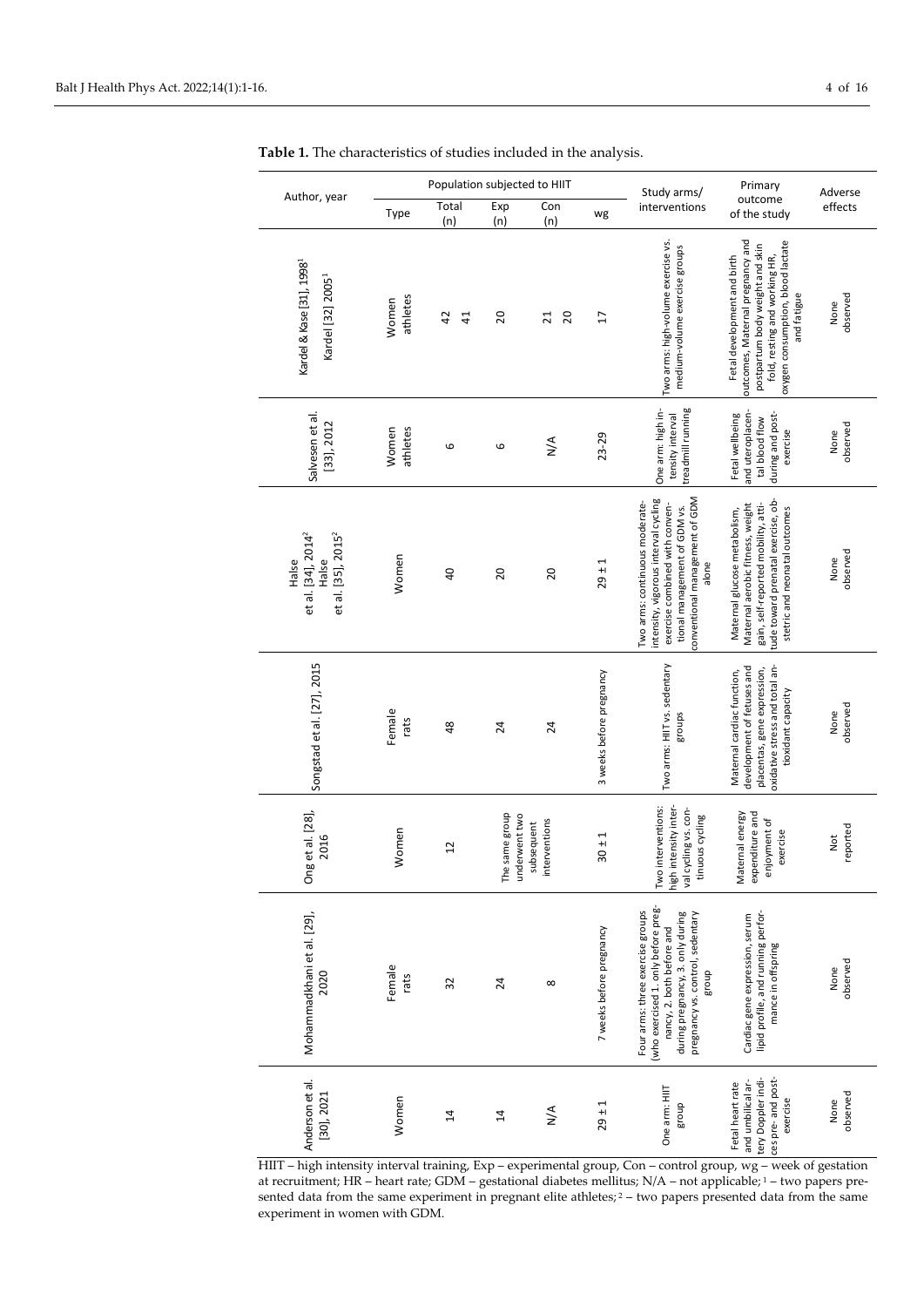| Author, year                                                                       |                   | Population subjected to HIIT |                                 |                             |                          | Study arms/                                                                                                                                                                            | Primary                                                                                                                                                                                 | Adverse          |
|------------------------------------------------------------------------------------|-------------------|------------------------------|---------------------------------|-----------------------------|--------------------------|----------------------------------------------------------------------------------------------------------------------------------------------------------------------------------------|-----------------------------------------------------------------------------------------------------------------------------------------------------------------------------------------|------------------|
|                                                                                    | Type              | Total<br>(n)                 | Exp<br>(n)                      | Con<br>(n)                  | wg                       | interventions                                                                                                                                                                          | outcome<br>of the study                                                                                                                                                                 | effects          |
| Kardel & Kase [31], 1998 <sup>1</sup><br>Kardel [32] 2005 <sup>1</sup>             | athletes<br>Women | 42<br>$\frac{4}{1}$          | 20                              | 20<br>$\overline{21}$       | $\overline{1}$           | Two arms: high-volume exercise vs.<br>medium-volume exercise groups                                                                                                                    | outcomes, Maternal pregnancy and<br>oxygen consumption, blood lactate<br>postpartum body weight and skin<br>fold, resting and working HR,<br>Fetal development and birth<br>and fatigue | observed<br>None |
| Salvesen et al.<br>[33], 2012                                                      | Women<br>athletes | 6                            | 6                               | $N^{\mathsf{A}}$            | $23 - 29$                | treadmill running<br>One arm: high in-<br>tensity interval                                                                                                                             | and uteroplacen-<br>during and post-<br>Fetal wellbeing<br>tal blood flow<br>exercise                                                                                                   | observed<br>None |
| et al. [34], 2014 <sup>2</sup><br>et al. [35], 2015 <sup>2</sup><br>Halse<br>Halse | Women             | $\overline{a}$               | 20                              | $\overline{c}$              | $29 + 1$                 | onventional management of GDM<br>intensity, vigorous interval cycling<br>Two arms: continuous moderate-<br>exercise combined with conven-<br>tional management of GDM vs.<br>alone     | ude toward prenatal exercise, ob-<br>Maternal aerobic fitness, weight<br>gain, self-reported mobility, atti-<br>stetric and neonatal outcomes<br>Maternal glucose metabolism,           | observed<br>None |
| Songstad et al. [27], 2015                                                         | Female<br>rats    | 48                           | 24                              | 24                          | 3 weeks before pregnancy | Two arms: HIIT vs. sedentary<br>groups                                                                                                                                                 | pxidative stress and total an-<br>development of fetuses and<br>placentas, gene expression,<br>Maternal cardiac function,<br>tioxidant capacity                                         | observed<br>None |
| Ong et al. [28],<br>2016                                                           | Women             | $\overline{1}$               | The same group<br>underwent two | interventions<br>subsequent | $30 + 1$                 | high intensity inter-<br>Two interventions:<br>val cycling vs. con-<br>tinuous cycling                                                                                                 | Maternal energy<br>expenditure and<br>enjoyment of<br>exercise                                                                                                                          | reported<br>Not  |
| Mohammadkhani et al. [29],<br>2020                                                 | Female<br>rats    | 32                           | $\overline{24}$                 | $^{\circ}$                  | 7 weeks before pregnancy | (who exercised 1. only before preg-<br>Four arms: three exercise groups<br>during pregnancy, 3. only during<br>pregnancy vs. control, sedentary<br>nancy, 2. both before and<br>dno.la | lipid profile, and running perfor-<br>Cardiac gene expression, serum<br>mance in offspring                                                                                              | observed<br>None |
| Anderson et al.<br>[30], 2021                                                      | Women             | $\overline{4}$               | $\overline{4}$                  | $\sum_{N}$                  | $29 + 1$                 | One arm: HIIT<br>dno.B                                                                                                                                                                 | ces pre- and post-<br>tery Doppler indi-<br>and umbilical ar-<br>Fetal heart rate<br>exercise                                                                                           | observed<br>None |

**Table 1.** The characteristics of studies included in the analysis.

HIIT – high intensity interval training, Exp – experimental group, Con – control group, wg – week of gestation at recruitment; HR – heart rate; GDM – gestational diabetes mellitus; N/A – not applicable; <sup>1</sup> – two papers presented data from the same experiment in pregnant elite athletes;  $2 -$  two papers presented data from the same experiment in women with GDM.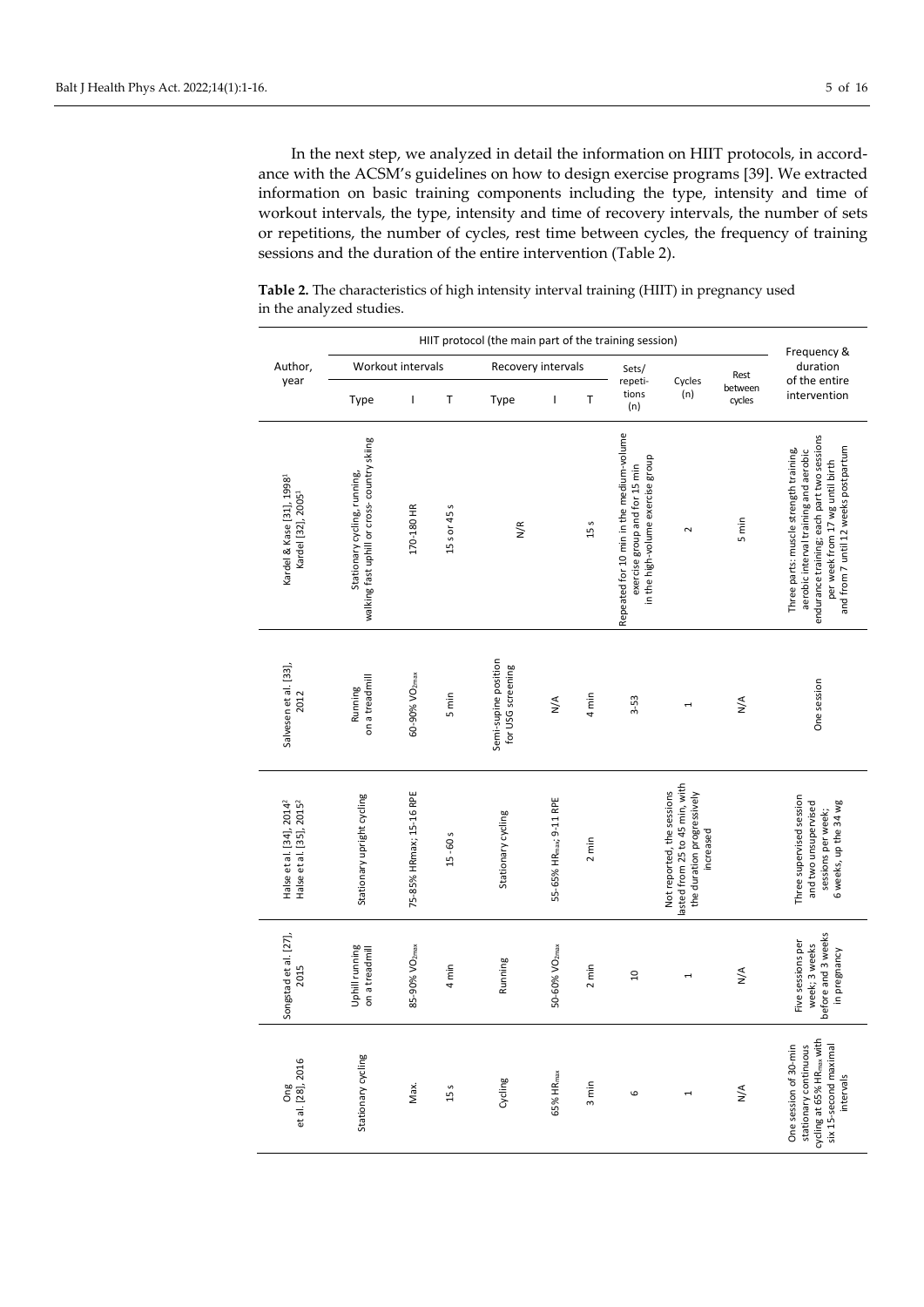In the next step, we analyzed in detail the information on HIIT protocols, in accordance with the ACSM's guidelines on how to design exercise programs [39]. We extracted information on basic training components including the type, intensity and time of workout intervals, the type, intensity and time of recovery intervals, the number of sets or repetitions, the number of cycles, rest time between cycles, the frequency of training sessions and the duration of the entire intervention (Table 2).

**Table 2.** The characteristics of high intensity interval training (HIIT) in pregnancy used in the analyzed studies.

|                                                                              | HIIT protocol (the main part of the training session)                        |                           |              |                                           |                                     |                 |                                                                                                                |                                                                                                         |                      | Frequency &                                                                                                                                                                                              |
|------------------------------------------------------------------------------|------------------------------------------------------------------------------|---------------------------|--------------|-------------------------------------------|-------------------------------------|-----------------|----------------------------------------------------------------------------------------------------------------|---------------------------------------------------------------------------------------------------------|----------------------|----------------------------------------------------------------------------------------------------------------------------------------------------------------------------------------------------------|
| Author,                                                                      |                                                                              | Workout intervals         |              | Recovery intervals                        |                                     |                 | Sets/                                                                                                          |                                                                                                         | Rest                 | duration<br>of the entire                                                                                                                                                                                |
| year                                                                         | Type                                                                         | $\mathbf{I}$              | Τ            | Type                                      | T                                   | Т               | repeti-<br>tions<br>(n)                                                                                        | Cycles<br>(n)                                                                                           | between<br>cycles    | intervention                                                                                                                                                                                             |
| Kardel & Kase [31], 1998 <sup>1</sup><br>Kardel [32], 2005 <sup>1</sup>      | walking fast uphill or cross- country skiing<br>Stationary cycling, running, | 170-180 HR                | 15 s or 45 s | $\frac{\kappa}{2}$                        |                                     | 15 s            | Repeated for 10 min in the medium-volume<br>in the high-volume exercise group<br>exercise group and for 15 min | $\sim$                                                                                                  | 5 min                | endurance training; each part two sessions<br>and from 7 until 12 weeks postpartum<br>Three parts: muscle strength training,<br>aerobic interval training and aerobic<br>per week from 17 wg until birth |
| Salvesen et al. [33],<br>2012                                                | on a treadmill<br>Running                                                    | 60-90% VO <sub>2max</sub> | 5 min        | Semi-supine position<br>for USG screening | $\frac{4}{2}$                       | 4 min           | 3-53                                                                                                           | 1                                                                                                       | $\frac{4}{\sqrt{2}}$ | One session                                                                                                                                                                                              |
| Halse et al. [34], 2014 <sup>2</sup><br>Halse et al. [35], 2015 <sup>2</sup> | Stationary upright cycling                                                   | 75-85% HRmax; 15-16 RPE   | $15 - 60s$   | Stationary cycling                        | 55-65% HR <sub>max</sub> ; 9-11 RPE | $2 \text{ min}$ |                                                                                                                | lasted from 25 to 45 min, with<br>Not reported, the sessions<br>the duration progressively<br>increased |                      | Three supervised session<br>and two unsupervised<br>6 weeks, up the 34 wg<br>sessions per week;                                                                                                          |
| Songstad et al. [27],<br>2015                                                | Uphill running<br>on a treadmill                                             | 85-90% VO <sub>2max</sub> | 4 min        | Running                                   | 50-60% VO <sub>2max</sub>           | 2 min           | $\overline{a}$                                                                                                 | 1                                                                                                       | $\frac{4}{\sqrt{2}}$ | before and 3 weeks<br>Five sessions per<br>week; 3 weeks<br>in pregnancy                                                                                                                                 |
| et al. [28], 2016<br>Ong                                                     | Stationary cycling                                                           | Max.                      | 15 s         | Cycling                                   | <b>65% HRmax</b>                    | 3 min           | 6                                                                                                              |                                                                                                         | $\frac{4}{2}$        | cycling at 65% HR <sub>max</sub> with<br>One session of 30-min<br>stationary continuous<br>six 15-second maximal<br>intervals                                                                            |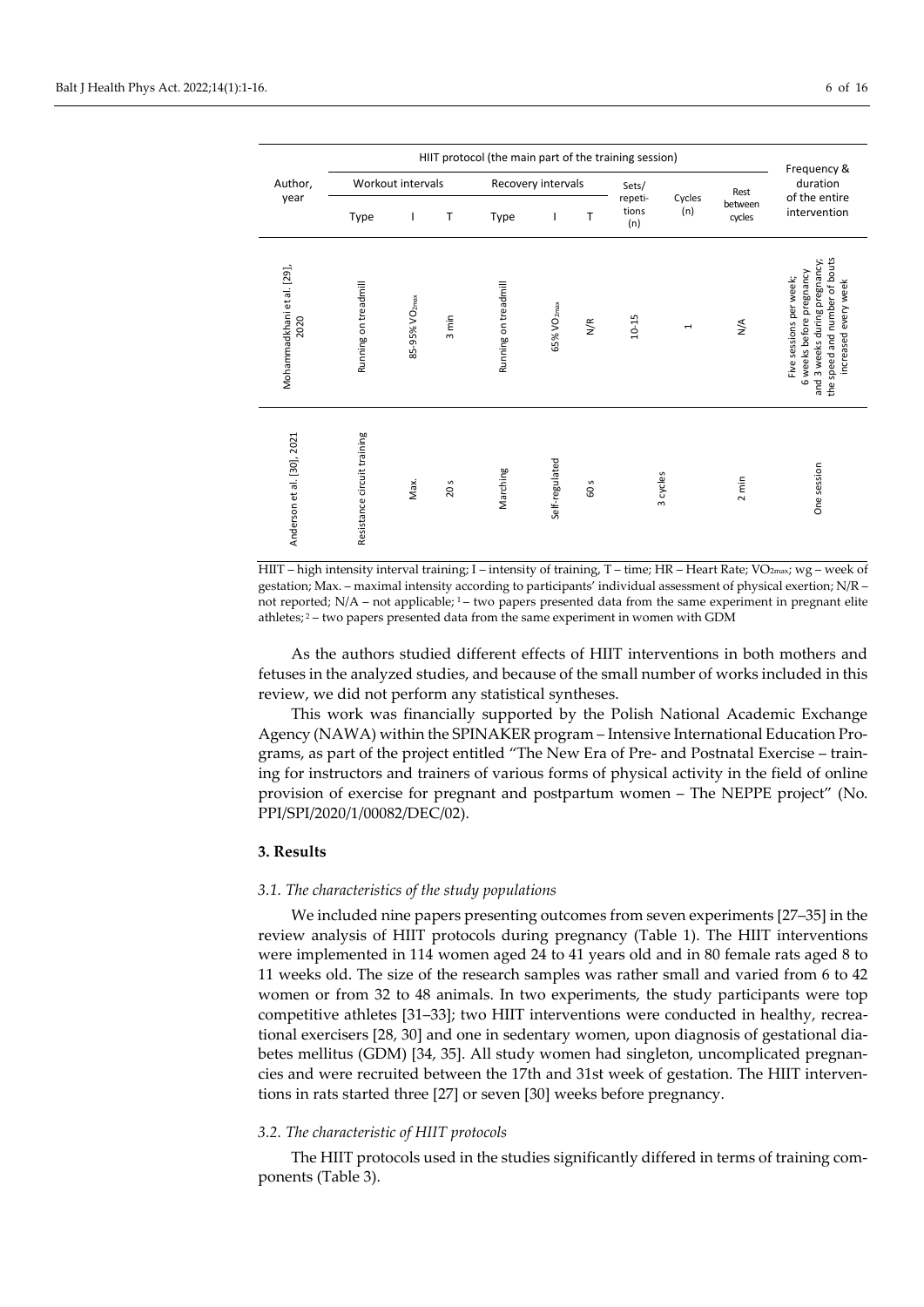| HIIT protocol (the main part of the training session)<br>Frequency & |                             |                           |                 |                      |                        |      |                         |               |                   |                                                                                                                                               |
|----------------------------------------------------------------------|-----------------------------|---------------------------|-----------------|----------------------|------------------------|------|-------------------------|---------------|-------------------|-----------------------------------------------------------------------------------------------------------------------------------------------|
| Author,                                                              |                             | Workout intervals         |                 | Recovery intervals   |                        |      | Sets/                   |               | Rest              | duration<br>of the entire                                                                                                                     |
| year                                                                 | Type                        |                           | т               | Type                 |                        | т    | repeti-<br>tions<br>(n) | Cycles<br>(n) | between<br>cycles | intervention                                                                                                                                  |
| Mohammadkhani et al. [29],<br>2020                                   | Running on treadmill        | 85-95% VO <sub>2max</sub> | 3 min           | Running on treadmill | 65% VO <sub>2max</sub> | N/R  | $10 - 15$               | I             | $\frac{4}{2}$     | the speed and number of bouts<br>and 3 weeks during pregnancy;<br>6 weeks before pregnancy<br>Five sessions per week;<br>increased every week |
| Anderson et al. [30], 2021                                           | Resistance circuit training | Max.                      | 20 <sub>5</sub> | Marching             | Self-regulated         | 60 s |                         | 3 cycles      | $2 \text{ min}$   | One session                                                                                                                                   |

HIIT – high intensity interval training; I – intensity of training, T – time; HR – Heart Rate; VO2max; wg – week of gestation; Max. – maximal intensity according to participants' individual assessment of physical exertion; N/R – not reported; N/A – not applicable; <sup>1</sup> – two papers presented data from the same experiment in pregnant elite athletes; <sup>2</sup> – two papers presented data from the same experiment in women with GDM

As the authors studied different effects of HIIT interventions in both mothers and fetuses in the analyzed studies, and because of the small number of works included in this review, we did not perform any statistical syntheses.

This work was financially supported by the Polish National Academic Exchange Agency (NAWA) within the SPINAKER program – Intensive International Education Programs, as part of the project entitled "The New Era of Pre- and Postnatal Exercise – training for instructors and trainers of various forms of physical activity in the field of online provision of exercise for pregnant and postpartum women – The NEPPE project" (No. PPI/SPI/2020/1/00082/DEC/02).

#### **3. Results**

#### *3.1. The characteristics of the study populations*

We included nine papers presenting outcomes from seven experiments [27–35] in the review analysis of HIIT protocols during pregnancy (Table 1). The HIIT interventions were implemented in 114 women aged 24 to 41 years old and in 80 female rats aged 8 to 11 weeks old. The size of the research samples was rather small and varied from 6 to 42 women or from 32 to 48 animals. In two experiments, the study participants were top competitive athletes [31–33]; two HIIT interventions were conducted in healthy, recreational exercisers [28, 30] and one in sedentary women, upon diagnosis of gestational diabetes mellitus (GDM) [34, 35]. All study women had singleton, uncomplicated pregnancies and were recruited between the 17th and 31st week of gestation. The HIIT interventions in rats started three [27] or seven [30] weeks before pregnancy.

#### *3.2. The characteristic of HIIT protocols*

The HIIT protocols used in the studies significantly differed in terms of training components (Table 3).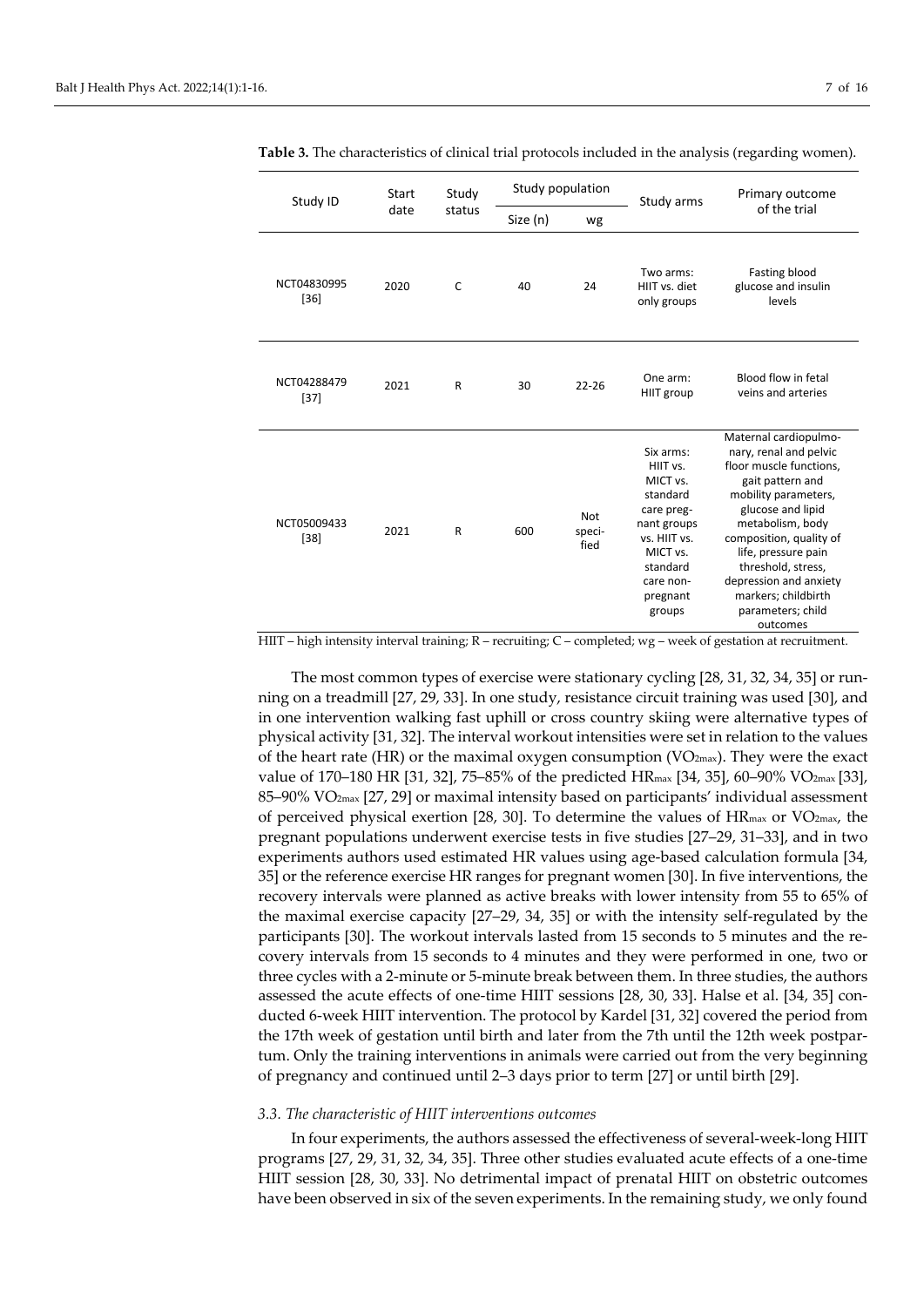| Study ID              | Start | Study        |          | Study population             | Study arms                                                                                                                                            | Primary outcome<br>of the trial                                                                                                                                                                                                                                                                                           |  |
|-----------------------|-------|--------------|----------|------------------------------|-------------------------------------------------------------------------------------------------------------------------------------------------------|---------------------------------------------------------------------------------------------------------------------------------------------------------------------------------------------------------------------------------------------------------------------------------------------------------------------------|--|
|                       | date  | status       | Size (n) | wg                           |                                                                                                                                                       |                                                                                                                                                                                                                                                                                                                           |  |
| NCT04830995<br>$[36]$ | 2020  | C            | 40       | 24                           | Two arms:<br>HIIT vs. diet<br>only groups                                                                                                             | Fasting blood<br>glucose and insulin<br>levels                                                                                                                                                                                                                                                                            |  |
| NCT04288479<br>$[37]$ | 2021  | R            | 30       | $22 - 26$                    | One arm:<br>HIIT group                                                                                                                                | Blood flow in fetal<br>veins and arteries                                                                                                                                                                                                                                                                                 |  |
| NCT05009433<br>$[38]$ | 2021  | $\mathsf{R}$ | 600      | <b>Not</b><br>speci-<br>fied | Six arms:<br>HIIT vs.<br>MICT vs.<br>standard<br>care preg-<br>nant groups<br>vs. HIIT vs.<br>MICT vs.<br>standard<br>care non-<br>pregnant<br>groups | Maternal cardiopulmo-<br>nary, renal and pelvic<br>floor muscle functions,<br>gait pattern and<br>mobility parameters,<br>glucose and lipid<br>metabolism, body<br>composition, quality of<br>life, pressure pain<br>threshold, stress,<br>depression and anxiety<br>markers; childbirth<br>parameters; child<br>outcomes |  |

**Table 3.** The characteristics of clinical trial protocols included in the analysis (regarding women).

HIIT – high intensity interval training; R – recruiting; C – completed; wg – week of gestation at recruitment.

The most common types of exercise were stationary cycling [28, 31, 32, 34, 35] or running on a treadmill [27, 29, 33]. In one study, resistance circuit training was used [30], and in one intervention walking fast uphill or cross country skiing were alternative types of physical activity [31, 32]. The interval workout intensities were set in relation to the values of the heart rate (HR) or the maximal oxygen consumption ( $VO_{2max}$ ). They were the exact value of 170–180 HR [31, 32], 75–85% of the predicted HRmax [34, 35], 60–90% VO2max [33], 85–90% VO2max [27, 29] or maximal intensity based on participants' individual assessment of perceived physical exertion [28, 30]. To determine the values of  $HR_{\text{max}}$  or  $VO_{\text{2max}}$ , the pregnant populations underwent exercise tests in five studies [27–29, 31–33], and in two experiments authors used estimated HR values using age-based calculation formula [34, 35] or the reference exercise HR ranges for pregnant women [30]. In five interventions, the recovery intervals were planned as active breaks with lower intensity from 55 to 65% of the maximal exercise capacity [27–29, 34, 35] or with the intensity self-regulated by the participants [30]. The workout intervals lasted from 15 seconds to 5 minutes and the recovery intervals from 15 seconds to 4 minutes and they were performed in one, two or three cycles with a 2-minute or 5-minute break between them. In three studies, the authors assessed the acute effects of one-time HIIT sessions [28, 30, 33]. Halse et al. [34, 35] conducted 6-week HIIT intervention. The protocol by Kardel [31, 32] covered the period from the 17th week of gestation until birth and later from the 7th until the 12th week postpartum. Only the training interventions in animals were carried out from the very beginning of pregnancy and continued until 2–3 days prior to term [27] or until birth [29].

#### *3.3. The characteristic of HIIT interventions outcomes*

In four experiments, the authors assessed the effectiveness of several-week-long HIIT programs [27, 29, 31, 32, 34, 35]. Three other studies evaluated acute effects of a one-time HIIT session [28, 30, 33]. No detrimental impact of prenatal HIIT on obstetric outcomes have been observed in six of the seven experiments. In the remaining study, we only found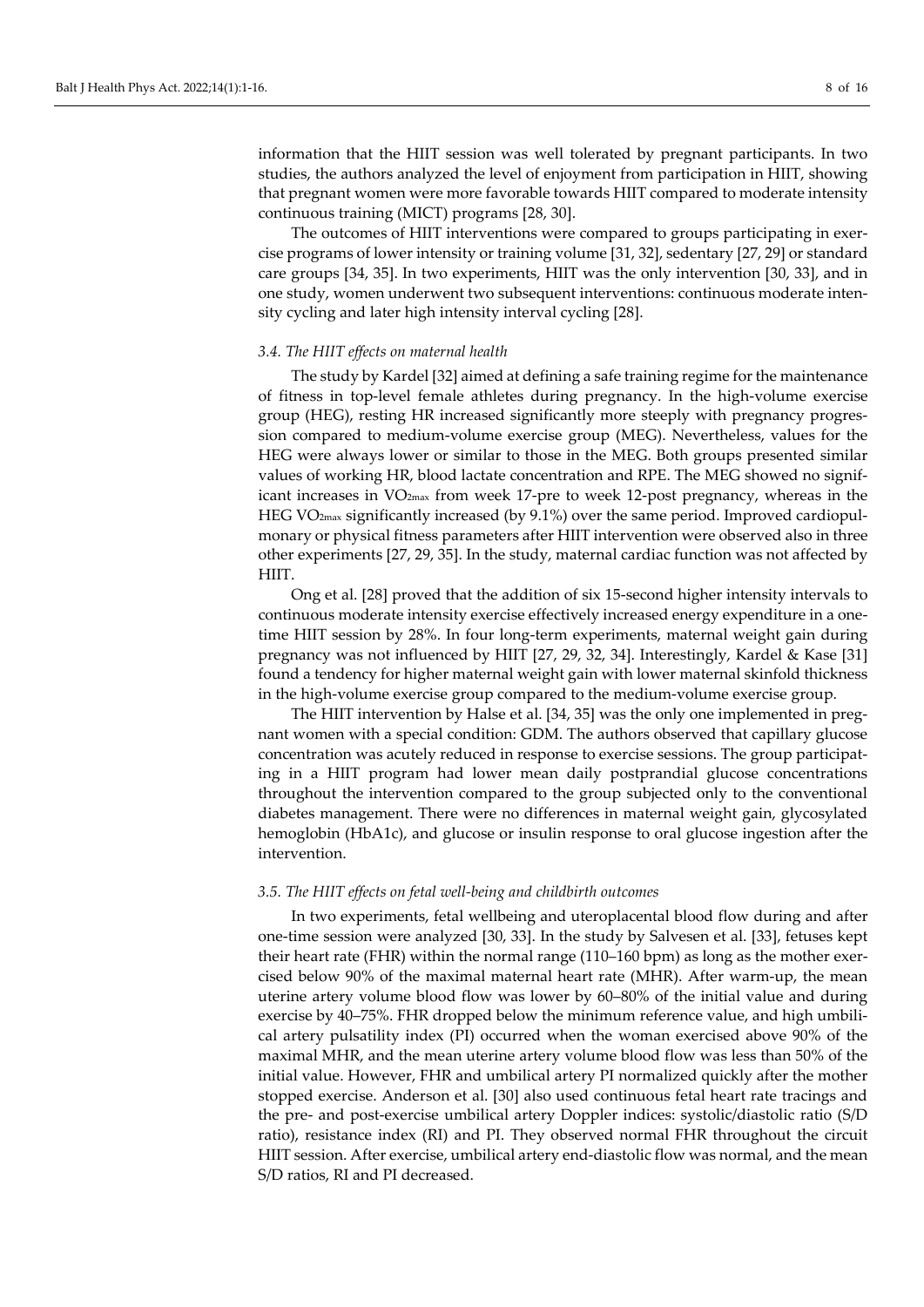information that the HIIT session was well tolerated by pregnant participants. In two studies, the authors analyzed the level of enjoyment from participation in HIIT, showing that pregnant women were more favorable towards HIIT compared to moderate intensity continuous training (MICT) programs [28, 30].

The outcomes of HIIT interventions were compared to groups participating in exercise programs of lower intensity or training volume [31, 32], sedentary [27, 29] or standard care groups [34, 35]. In two experiments, HIIT was the only intervention [30, 33], and in one study, women underwent two subsequent interventions: continuous moderate intensity cycling and later high intensity interval cycling [28].

#### *3.4. The HIIT effects on maternal health*

The study by Kardel [32] aimed at defining a safe training regime for the maintenance of fitness in top-level female athletes during pregnancy. In the high-volume exercise group (HEG), resting HR increased significantly more steeply with pregnancy progression compared to medium-volume exercise group (MEG). Nevertheless, values for the HEG were always lower or similar to those in the MEG. Both groups presented similar values of working HR, blood lactate concentration and RPE. The MEG showed no significant increases in VO2max from week 17-pre to week 12-post pregnancy, whereas in the HEG VO2max significantly increased (by 9.1%) over the same period. Improved cardiopulmonary or physical fitness parameters after HIIT intervention were observed also in three other experiments [27, 29, 35]. In the study, maternal cardiac function was not affected by HIIT.

Ong et al. [28] proved that the addition of six 15-second higher intensity intervals to continuous moderate intensity exercise effectively increased energy expenditure in a onetime HIIT session by 28%. In four long-term experiments, maternal weight gain during pregnancy was not influenced by HIIT [27, 29, 32, 34]. Interestingly, Kardel & Kase [31] found a tendency for higher maternal weight gain with lower maternal skinfold thickness in the high-volume exercise group compared to the medium-volume exercise group.

The HIIT intervention by Halse et al. [34, 35] was the only one implemented in pregnant women with a special condition: GDM. The authors observed that capillary glucose concentration was acutely reduced in response to exercise sessions. The group participating in a HIIT program had lower mean daily postprandial glucose concentrations throughout the intervention compared to the group subjected only to the conventional diabetes management. There were no differences in maternal weight gain, glycosylated hemoglobin (HbA1c), and glucose or insulin response to oral glucose ingestion after the intervention.

#### *3.5. The HIIT effects on fetal well-being and childbirth outcomes*

In two experiments, fetal wellbeing and uteroplacental blood flow during and after one-time session were analyzed [30, 33]. In the study by Salvesen et al. [33], fetuses kept their heart rate (FHR) within the normal range (110–160 bpm) as long as the mother exercised below 90% of the maximal maternal heart rate (MHR). After warm-up, the mean uterine artery volume blood flow was lower by 60–80% of the initial value and during exercise by 40–75%. FHR dropped below the minimum reference value, and high umbilical artery pulsatility index (PI) occurred when the woman exercised above 90% of the maximal MHR, and the mean uterine artery volume blood flow was less than 50% of the initial value. However, FHR and umbilical artery PI normalized quickly after the mother stopped exercise. Anderson et al. [30] also used continuous fetal heart rate tracings and the pre- and post-exercise umbilical artery Doppler indices: systolic/diastolic ratio (S/D ratio), resistance index (RI) and PI. They observed normal FHR throughout the circuit HIIT session. After exercise, umbilical artery end-diastolic flow was normal, and the mean S/D ratios, RI and PI decreased.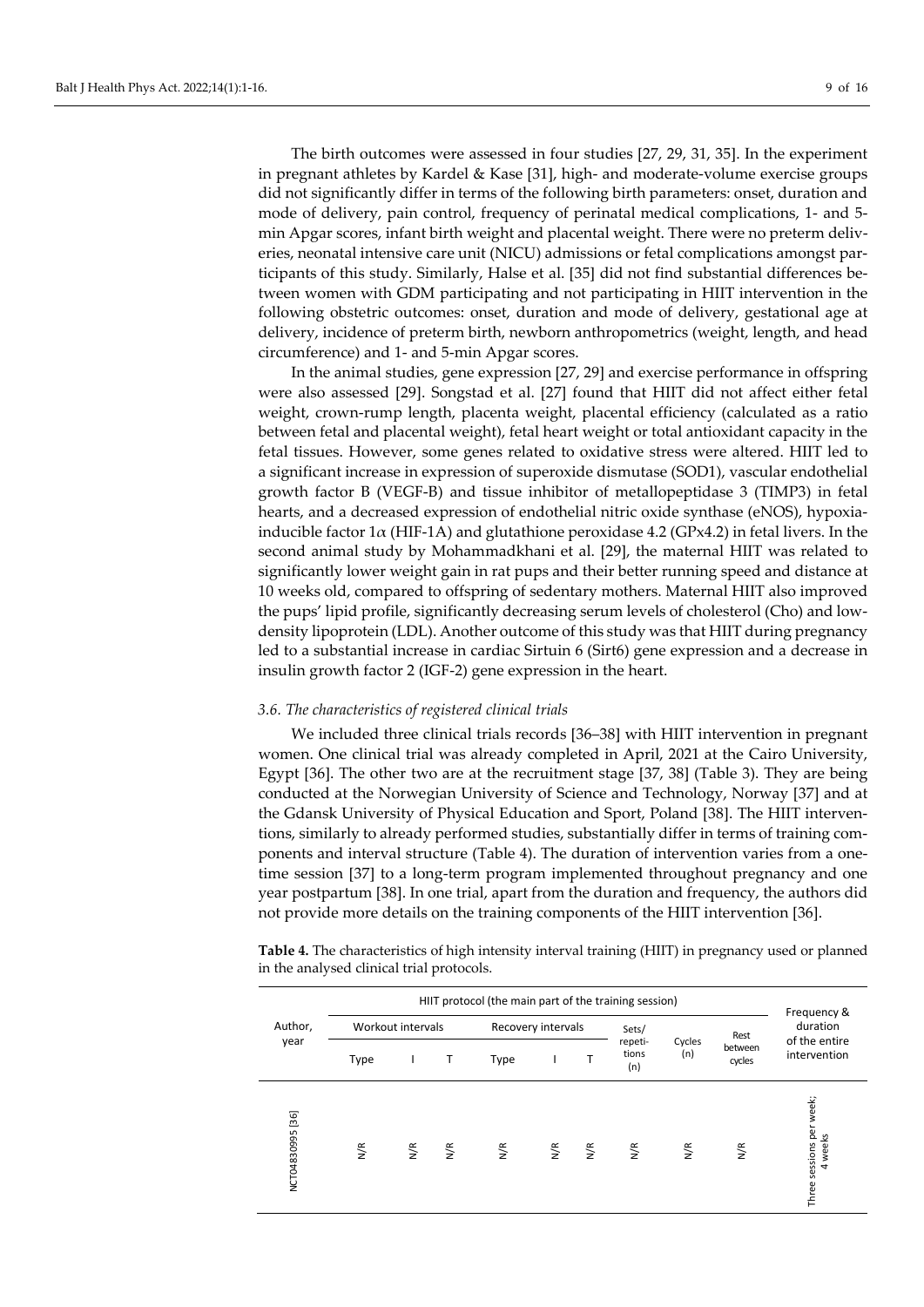The birth outcomes were assessed in four studies [27, 29, 31, 35]. In the experiment in pregnant athletes by Kardel & Kase [31], high- and moderate-volume exercise groups did not significantly differ in terms of the following birth parameters: onset, duration and mode of delivery, pain control, frequency of perinatal medical complications, 1- and 5 min Apgar scores, infant birth weight and placental weight. There were no preterm deliveries, neonatal intensive care unit (NICU) admissions or fetal complications amongst participants of this study. Similarly, Halse et al. [35] did not find substantial differences between women with GDM participating and not participating in HIIT intervention in the following obstetric outcomes: onset, duration and mode of delivery, gestational age at delivery, incidence of preterm birth, newborn anthropometrics (weight, length, and head circumference) and 1- and 5-min Apgar scores.

In the animal studies, gene expression [27, 29] and exercise performance in offspring were also assessed [29]. Songstad et al. [27] found that HIIT did not affect either fetal weight, crown-rump length, placenta weight, placental efficiency (calculated as a ratio between fetal and placental weight), fetal heart weight or total antioxidant capacity in the fetal tissues. However, some genes related to oxidative stress were altered. HIIT led to a significant increase in expression of superoxide dismutase (SOD1), vascular endothelial growth factor B (VEGF-B) and tissue inhibitor of metallopeptidase 3 (TIMP3) in fetal hearts, and a decreased expression of endothelial nitric oxide synthase (eNOS), hypoxiainducible factor  $1\alpha$  (HIF-1A) and glutathione peroxidase 4.2 (GPx4.2) in fetal livers. In the second animal study by Mohammadkhani et al. [29], the maternal HIIT was related to significantly lower weight gain in rat pups and their better running speed and distance at 10 weeks old, compared to offspring of sedentary mothers. Maternal HIIT also improved the pups' lipid profile, significantly decreasing serum levels of cholesterol (Cho) and lowdensity lipoprotein (LDL). Another outcome of this study was that HIIT during pregnancy led to a substantial increase in cardiac Sirtuin 6 (Sirt6) gene expression and a decrease in insulin growth factor 2 (IGF-2) gene expression in the heart.

#### *3.6. The characteristics of registered clinical trials*

We included three clinical trials records [36–38] with HIIT intervention in pregnant women. One clinical trial was already completed in April, 2021 at the Cairo University, Egypt [36]. The other two are at the recruitment stage [37, 38] (Table 3). They are being conducted at the Norwegian University of Science and Technology, Norway [37] and at the Gdansk University of Physical Education and Sport, Poland [38]. The HIIT interventions, similarly to already performed studies, substantially differ in terms of training components and interval structure (Table 4). The duration of intervention varies from a onetime session [37] to a long-term program implemented throughout pregnancy and one year postpartum [38]. In one trial, apart from the duration and frequency, the authors did not provide more details on the training components of the HIIT intervention [36].

**Table 4.** The characteristics of high intensity interval training (HIIT) in pregnancy used or planned in the analysed clinical trial protocols.

|                  |      |                   |                      | HIIT protocol (the main part of the training session) |               |                    |                         |               |                   | Frequency &                            |
|------------------|------|-------------------|----------------------|-------------------------------------------------------|---------------|--------------------|-------------------------|---------------|-------------------|----------------------------------------|
| Author,          |      | Workout intervals |                      | Recovery intervals                                    |               |                    | Sets/                   |               | Rest              | duration                               |
| year             | Type |                   | $\mathsf{T}$         | Type                                                  |               | T                  | repeti-<br>tions<br>(n) | Cycles<br>(n) | between<br>cycles | of the entire<br>intervention          |
| NCT04830995 [36] | N/R  | $\frac{1}{2}$     | $\frac{\epsilon}{2}$ | $\frac{\kappa}{2}$                                    | $\frac{1}{2}$ | $\frac{\kappa}{2}$ | $\frac{1}{2}$           | N/R           | N/R               | sessions per week;<br>4 weeks<br>Three |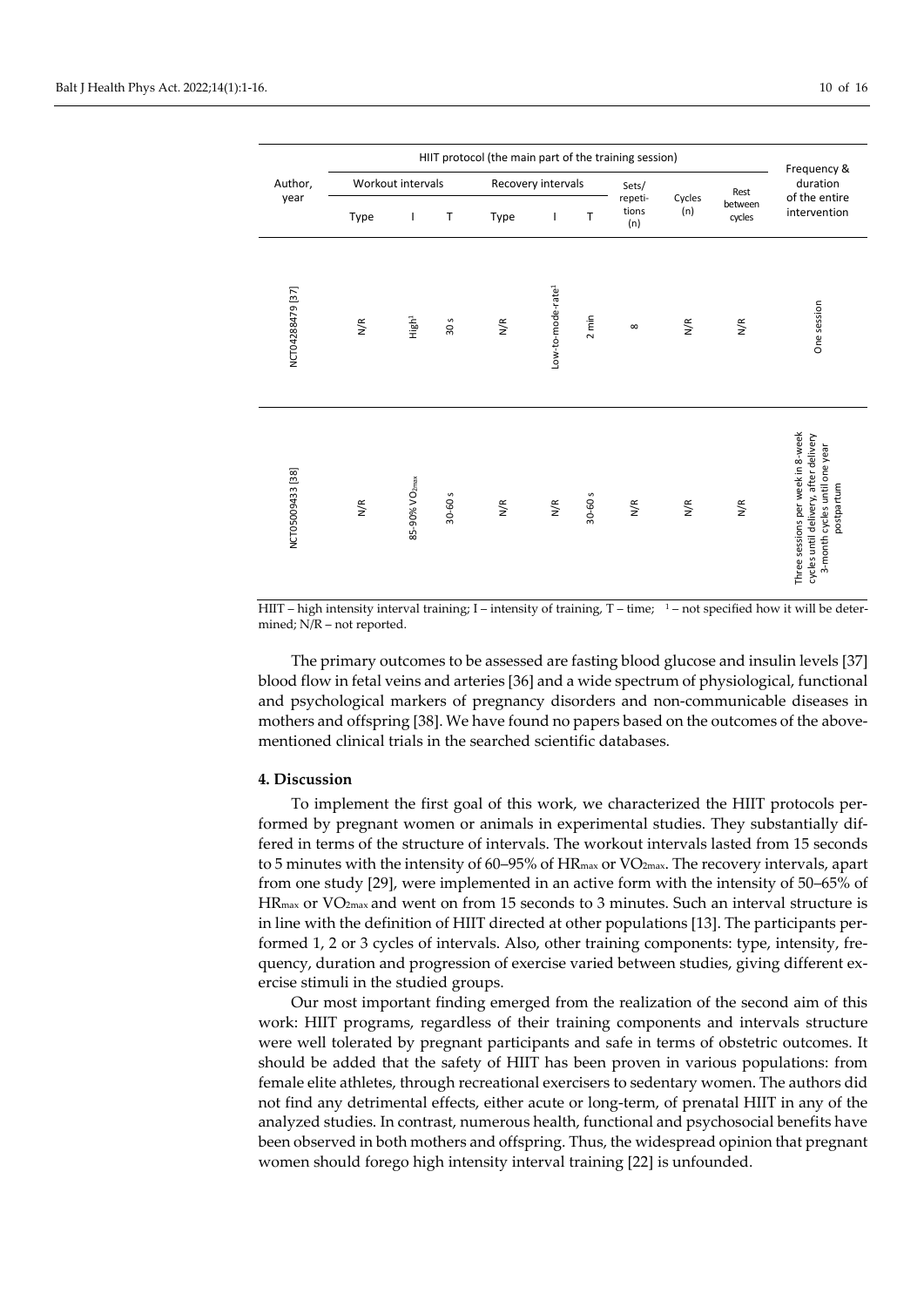| Author,<br>Workout intervals<br>year<br>Type |     | Frequency &               |         |     |                               |                         |               |                   |              |                                                                                                                           |
|----------------------------------------------|-----|---------------------------|---------|-----|-------------------------------|-------------------------|---------------|-------------------|--------------|---------------------------------------------------------------------------------------------------------------------------|
|                                              |     |                           |         |     | Recovery intervals            |                         |               |                   | Rest         | duration<br>of the entire                                                                                                 |
|                                              | T   | T                         | Type    | I   | T                             | repeti-<br>tions<br>(n) | Cycles<br>(n) | between<br>cycles | intervention |                                                                                                                           |
| NCT04288479 [37]                             | N/R | High <sup>1</sup>         | 30 s    | N/R | Low-to-mode-rate <sup>1</sup> | $2 \text{ min}$         | $\infty$      | N/R               | N/R          | One session                                                                                                               |
| NCT05009433 [38]                             | N/R | 85-90% VO <sub>2max</sub> | 30-60 s | N/R | N/R                           | 30-60 s                 | N/R           | N/R               | N/R          | Three sessions per week in 8-week<br>cycles until delivery, after delivery<br>3-month cycles until one year<br>postpartum |

HIIT – high intensity interval training; I – intensity of training, T – time;  $1-$  not specified how it will be determined; N/R – not reported.

The primary outcomes to be assessed are fasting blood glucose and insulin levels [37] blood flow in fetal veins and arteries [36] and a wide spectrum of physiological, functional and psychological markers of pregnancy disorders and non-communicable diseases in mothers and offspring [38]. We have found no papers based on the outcomes of the abovementioned clinical trials in the searched scientific databases.

#### **4. Discussion**

To implement the first goal of this work, we characterized the HIIT protocols performed by pregnant women or animals in experimental studies. They substantially differed in terms of the structure of intervals. The workout intervals lasted from 15 seconds to 5 minutes with the intensity of 60–95% of HR<sub>max</sub> or VO<sub>2max</sub>. The recovery intervals, apart from one study [29], were implemented in an active form with the intensity of 50–65% of HRmax or VO2max and went on from 15 seconds to 3 minutes. Such an interval structure is in line with the definition of HIIT directed at other populations [13]. The participants performed 1, 2 or 3 cycles of intervals. Also, other training components: type, intensity, frequency, duration and progression of exercise varied between studies, giving different exercise stimuli in the studied groups.

Our most important finding emerged from the realization of the second aim of this work: HIIT programs, regardless of their training components and intervals structure were well tolerated by pregnant participants and safe in terms of obstetric outcomes. It should be added that the safety of HIIT has been proven in various populations: from female elite athletes, through recreational exercisers to sedentary women. The authors did not find any detrimental effects, either acute or long-term, of prenatal HIIT in any of the analyzed studies. In contrast, numerous health, functional and psychosocial benefits have been observed in both mothers and offspring. Thus, the widespread opinion that pregnant women should forego high intensity interval training [22] is unfounded.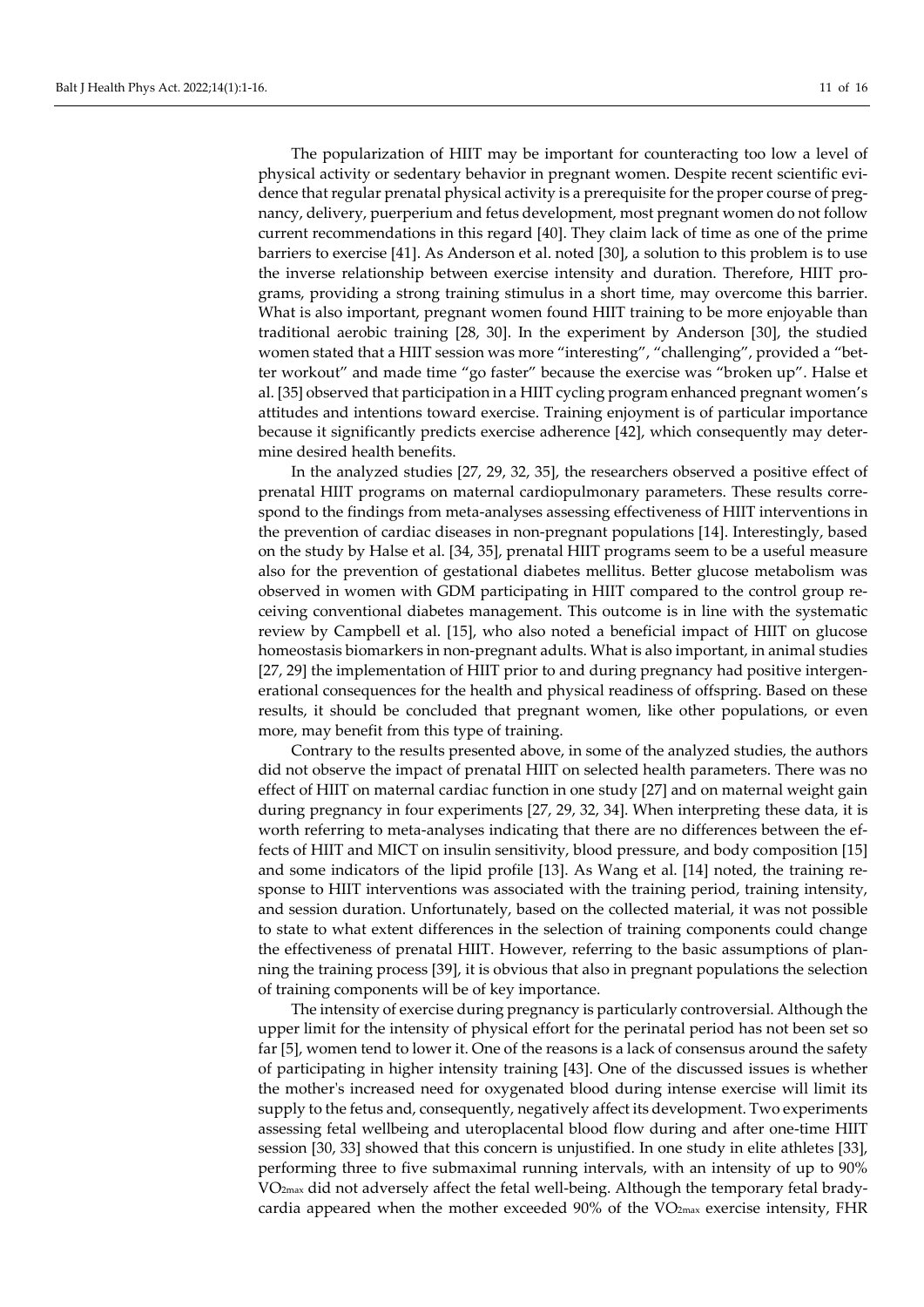The popularization of HIIT may be important for counteracting too low a level of physical activity or sedentary behavior in pregnant women. Despite recent scientific evidence that regular prenatal physical activity is a prerequisite for the proper course of pregnancy, delivery, puerperium and fetus development, most pregnant women do not follow current recommendations in this regard [40]. They claim lack of time as one of the prime barriers to exercise [41]. As Anderson et al. noted [30], a solution to this problem is to use the inverse relationship between exercise intensity and duration. Therefore, HIIT programs, providing a strong training stimulus in a short time, may overcome this barrier. What is also important, pregnant women found HIIT training to be more enjoyable than traditional aerobic training [28, 30]. In the experiment by Anderson [30], the studied women stated that a HIIT session was more "interesting", "challenging", provided a "better workout" and made time "go faster" because the exercise was "broken up". Halse et al. [35] observed that participation in a HIIT cycling program enhanced pregnant women's attitudes and intentions toward exercise. Training enjoyment is of particular importance because it significantly predicts exercise adherence [42], which consequently may determine desired health benefits.

In the analyzed studies [27, 29, 32, 35], the researchers observed a positive effect of prenatal HIIT programs on maternal cardiopulmonary parameters. These results correspond to the findings from meta-analyses assessing effectiveness of HIIT interventions in the prevention of cardiac diseases in non-pregnant populations [14]. Interestingly, based on the study by Halse et al. [34, 35], prenatal HIIT programs seem to be a useful measure also for the prevention of gestational diabetes mellitus. Better glucose metabolism was observed in women with GDM participating in HIIT compared to the control group receiving conventional diabetes management. This outcome is in line with the systematic review by Campbell et al. [15], who also noted a beneficial impact of HIIT on glucose homeostasis biomarkers in non-pregnant adults. What is also important, in animal studies [27, 29] the implementation of HIIT prior to and during pregnancy had positive intergenerational consequences for the health and physical readiness of offspring. Based on these results, it should be concluded that pregnant women, like other populations, or even more, may benefit from this type of training.

Contrary to the results presented above, in some of the analyzed studies, the authors did not observe the impact of prenatal HIIT on selected health parameters. There was no effect of HIIT on maternal cardiac function in one study [27] and on maternal weight gain during pregnancy in four experiments [27, 29, 32, 34]. When interpreting these data, it is worth referring to meta-analyses indicating that there are no differences between the effects of HIIT and MICT on insulin sensitivity, blood pressure, and body composition [15] and some indicators of the lipid profile [13]. As Wang et al. [14] noted, the training response to HIIT interventions was associated with the training period, training intensity, and session duration. Unfortunately, based on the collected material, it was not possible to state to what extent differences in the selection of training components could change the effectiveness of prenatal HIIT. However, referring to the basic assumptions of planning the training process [39], it is obvious that also in pregnant populations the selection of training components will be of key importance.

The intensity of exercise during pregnancy is particularly controversial. Although the upper limit for the intensity of physical effort for the perinatal period has not been set so far [5], women tend to lower it. One of the reasons is a lack of consensus around the safety of participating in higher intensity training [43]. One of the discussed issues is whether the mother's increased need for oxygenated blood during intense exercise will limit its supply to the fetus and, consequently, negatively affect its development. Two experiments assessing fetal wellbeing and uteroplacental blood flow during and after one-time HIIT session [30, 33] showed that this concern is unjustified. In one study in elite athletes [33], performing three to five submaximal running intervals, with an intensity of up to 90% VO2max did not adversely affect the fetal well-being. Although the temporary fetal bradycardia appeared when the mother exceeded  $90\%$  of the VO<sub>2max</sub> exercise intensity, FHR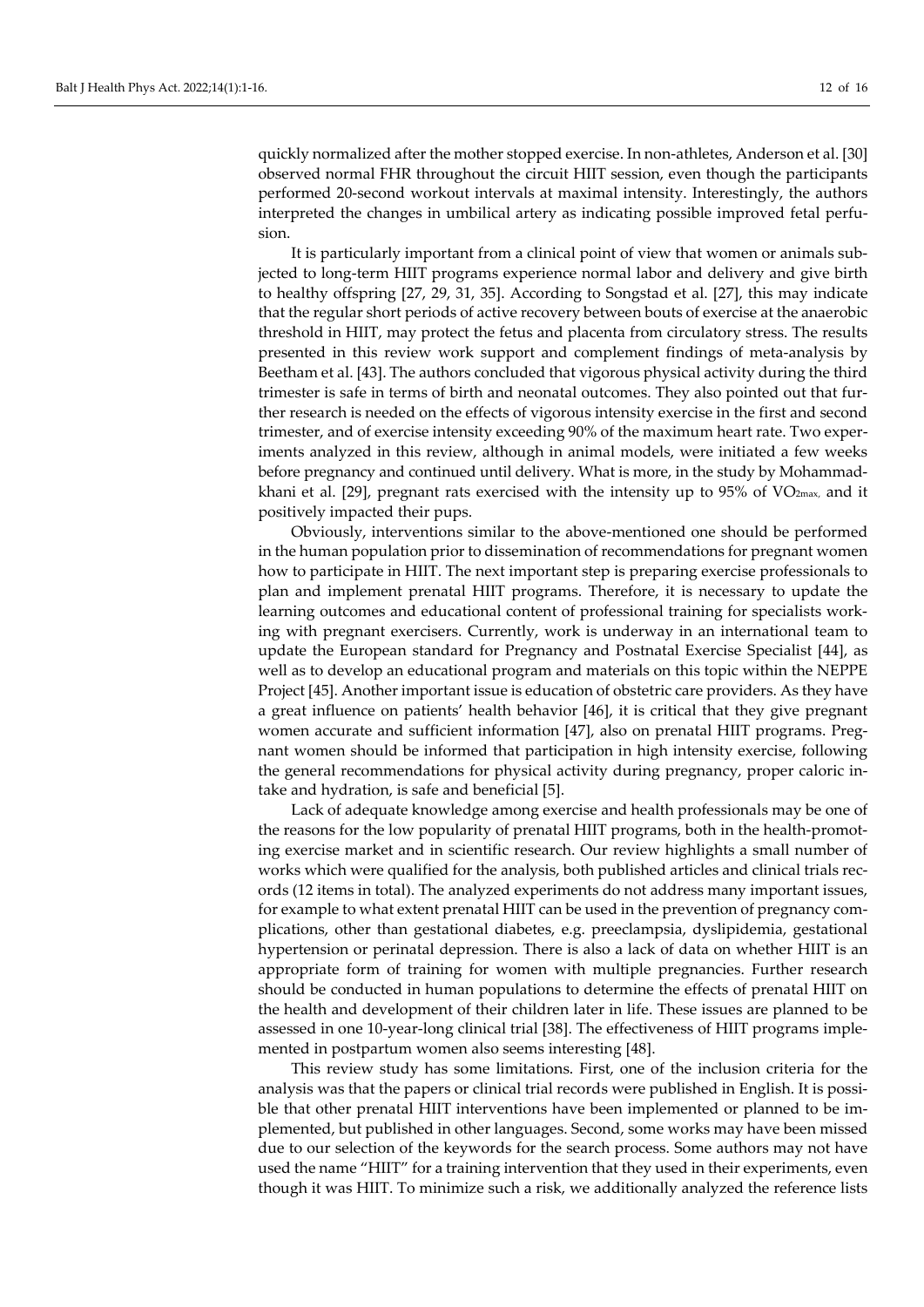quickly normalized after the mother stopped exercise. In non-athletes, Anderson et al. [30] observed normal FHR throughout the circuit HIIT session, even though the participants performed 20-second workout intervals at maximal intensity. Interestingly, the authors interpreted the changes in umbilical artery as indicating possible improved fetal perfusion.

It is particularly important from a clinical point of view that women or animals subjected to long-term HIIT programs experience normal labor and delivery and give birth to healthy offspring [27, 29, 31, 35]. According to Songstad et al. [27], this may indicate that the regular short periods of active recovery between bouts of exercise at the anaerobic threshold in HIIT, may protect the fetus and placenta from circulatory stress. The results presented in this review work support and complement findings of meta-analysis by Beetham et al. [43]. The authors concluded that vigorous physical activity during the third trimester is safe in terms of birth and neonatal outcomes. They also pointed out that further research is needed on the effects of vigorous intensity exercise in the first and second trimester, and of exercise intensity exceeding 90% of the maximum heart rate. Two experiments analyzed in this review, although in animal models, were initiated a few weeks before pregnancy and continued until delivery. What is more, in the study by Mohammadkhani et al. [29], pregnant rats exercised with the intensity up to 95% of  $VO<sub>2max</sub>$ , and it positively impacted their pups.

Obviously, interventions similar to the above-mentioned one should be performed in the human population prior to dissemination of recommendations for pregnant women how to participate in HIIT. The next important step is preparing exercise professionals to plan and implement prenatal HIIT programs. Therefore, it is necessary to update the learning outcomes and educational content of professional training for specialists working with pregnant exercisers. Currently, work is underway in an international team to update the European standard for Pregnancy and Postnatal Exercise Specialist [44], as well as to develop an educational program and materials on this topic within the NEPPE Project [45]. Another important issue is education of obstetric care providers. As they have a great influence on patients' health behavior [46], it is critical that they give pregnant women accurate and sufficient information [47], also on prenatal HIIT programs. Pregnant women should be informed that participation in high intensity exercise, following the general recommendations for physical activity during pregnancy, proper caloric intake and hydration, is safe and beneficial [5].

Lack of adequate knowledge among exercise and health professionals may be one of the reasons for the low popularity of prenatal HIIT programs, both in the health-promoting exercise market and in scientific research. Our review highlights a small number of works which were qualified for the analysis, both published articles and clinical trials records (12 items in total). The analyzed experiments do not address many important issues, for example to what extent prenatal HIIT can be used in the prevention of pregnancy complications, other than gestational diabetes, e.g. preeclampsia, dyslipidemia, gestational hypertension or perinatal depression. There is also a lack of data on whether HIIT is an appropriate form of training for women with multiple pregnancies. Further research should be conducted in human populations to determine the effects of prenatal HIIT on the health and development of their children later in life. These issues are planned to be assessed in one 10-year-long clinical trial [38]. The effectiveness of HIIT programs implemented in postpartum women also seems interesting [48].

This review study has some limitations. First, one of the inclusion criteria for the analysis was that the papers or clinical trial records were published in English. It is possible that other prenatal HIIT interventions have been implemented or planned to be implemented, but published in other languages. Second, some works may have been missed due to our selection of the keywords for the search process. Some authors may not have used the name "HIIT" for a training intervention that they used in their experiments, even though it was HIIT. To minimize such a risk, we additionally analyzed the reference lists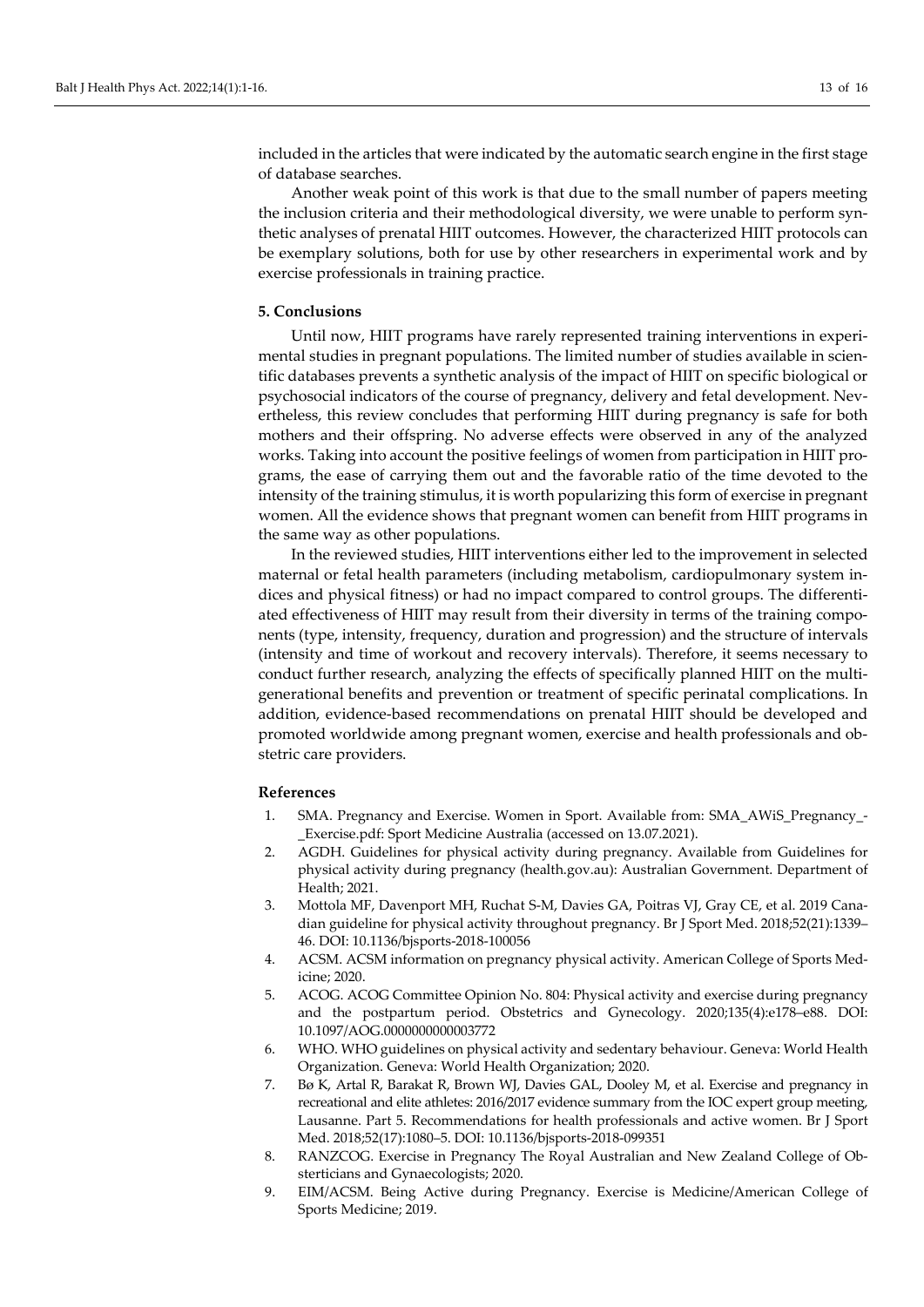included in the articles that were indicated by the automatic search engine in the first stage of database searches.

Another weak point of this work is that due to the small number of papers meeting the inclusion criteria and their methodological diversity, we were unable to perform synthetic analyses of prenatal HIIT outcomes. However, the characterized HIIT protocols can be exemplary solutions, both for use by other researchers in experimental work and by exercise professionals in training practice.

#### **5. Conclusions**

Until now, HIIT programs have rarely represented training interventions in experimental studies in pregnant populations. The limited number of studies available in scientific databases prevents a synthetic analysis of the impact of HIIT on specific biological or psychosocial indicators of the course of pregnancy, delivery and fetal development. Nevertheless, this review concludes that performing HIIT during pregnancy is safe for both mothers and their offspring. No adverse effects were observed in any of the analyzed works. Taking into account the positive feelings of women from participation in HIIT programs, the ease of carrying them out and the favorable ratio of the time devoted to the intensity of the training stimulus, it is worth popularizing this form of exercise in pregnant women. All the evidence shows that pregnant women can benefit from HIIT programs in the same way as other populations.

In the reviewed studies, HIIT interventions either led to the improvement in selected maternal or fetal health parameters (including metabolism, cardiopulmonary system indices and physical fitness) or had no impact compared to control groups. The differentiated effectiveness of HIIT may result from their diversity in terms of the training components (type, intensity, frequency, duration and progression) and the structure of intervals (intensity and time of workout and recovery intervals). Therefore, it seems necessary to conduct further research, analyzing the effects of specifically planned HIIT on the multigenerational benefits and prevention or treatment of specific perinatal complications. In addition, evidence-based recommendations on prenatal HIIT should be developed and promoted worldwide among pregnant women, exercise and health professionals and obstetric care providers.

#### **References**

- 1. SMA. Pregnancy and Exercise. Women in Sport. Available from: SMA\_AWiS\_Pregnancy\_- \_Exercise.pdf: Sport Medicine Australia (accessed on 13.07.2021).
- 2. AGDH. Guidelines for physical activity during pregnancy. Available from Guidelines for physical activity during pregnancy (health.gov.au): Australian Government. Department of Health; 2021.
- 3. Mottola MF, Davenport MH, Ruchat S-M, Davies GA, Poitras VJ, Gray CE, et al. 2019 Canadian guideline for physical activity throughout pregnancy. Br J Sport Med. 2018;52(21):1339– 46. DOI: [10.1136/bjsports-2018-100056](https://doi.org/10.1136/bjsports-2018-100056)
- 4. ACSM. ACSM information on pregnancy physical activity. American College of Sports Medicine; 2020.
- 5. ACOG. ACOG Committee Opinion No. 804: Physical activity and exercise during pregnancy and the postpartum period. Obstetrics and Gynecology. 2020;135(4):e178–e88. DOI: [10.1097/AOG.0000000000003772](https://doi.org/10.1097/AOG.0000000000003772)
- 6. WHO. WHO guidelines on physical activity and sedentary behaviour. Geneva: World Health Organization. Geneva: World Health Organization; 2020.
- 7. Bø K, Artal R, Barakat R, Brown WJ, Davies GAL, Dooley M, et al. Exercise and pregnancy in recreational and elite athletes: 2016/2017 evidence summary from the IOC expert group meeting, Lausanne. Part 5. Recommendations for health professionals and active women. Br J Sport Med. 2018;52(17):1080–5. DOI: [10.1136/bjsports-2018-099351](https://doi.org/10.1136/bjsports-2018-099351)
- 8. RANZCOG. Exercise in Pregnancy The Royal Australian and New Zealand College of Obsterticians and Gynaecologists; 2020.
- 9. EIM/ACSM. Being Active during Pregnancy. Exercise is Medicine/American College of Sports Medicine; 2019.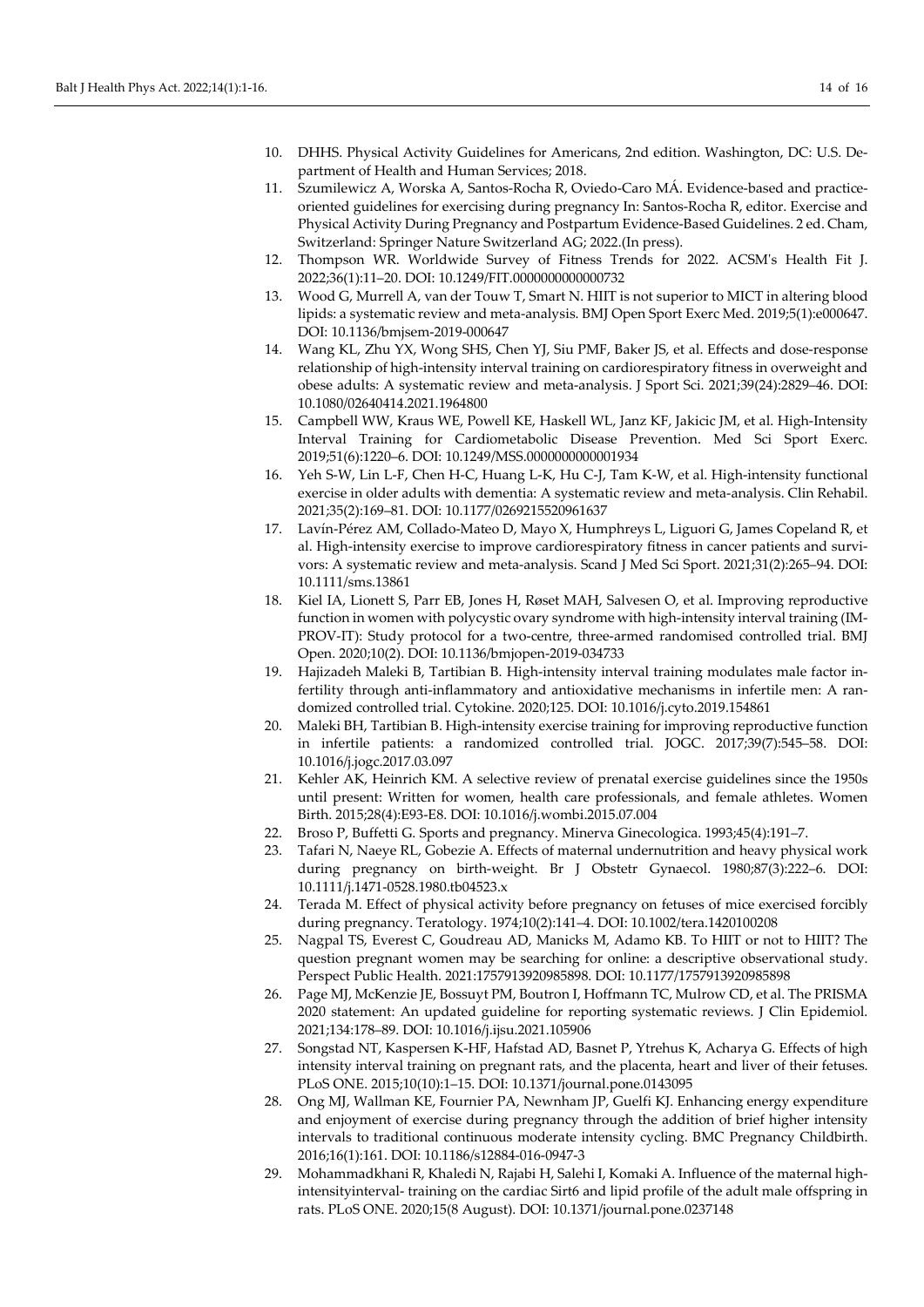- 10. DHHS. Physical Activity Guidelines for Americans, 2nd edition. Washington, DC: U.S. Department of Health and Human Services; 2018.
- 11. Szumilewicz A, Worska A, Santos-Rocha R, Oviedo-Caro MÁ. Evidence-based and practiceoriented guidelines for exercising during pregnancy In: Santos-Rocha R, editor. Exercise and Physical Activity During Pregnancy and Postpartum Evidence-Based Guidelines. 2 ed. Cham, Switzerland: Springer Nature Switzerland AG; 2022.(In press).
- 12. Thompson WR. Worldwide Survey of Fitness Trends for 2022. ACSM's Health Fit J. 2022;36(1):11–20. DOI[: 10.1249/FIT.0000000000000732](https://doi.org/10.1249/FIT.0000000000000732)
- 13. Wood G, Murrell A, van der Touw T, Smart N. HIIT is not superior to MICT in altering blood lipids: a systematic review and meta-analysis. BMJ Open Sport Exerc Med. 2019;5(1):e000647. DOI[: 10.1136/bmjsem-2019-000647](https://doi.org/10.1136/bmjsem-2019-000647)
- 14. Wang KL, Zhu YX, Wong SHS, Chen YJ, Siu PMF, Baker JS, et al. Effects and dose-response relationship of high-intensity interval training on cardiorespiratory fitness in overweight and obese adults: A systematic review and meta-analysis. J Sport Sci. 2021;39(24):2829–46. DOI: [10.1080/02640414.2021.1964800](https://doi.org/10.1080/02640414.2021.1964800)
- 15. Campbell WW, Kraus WE, Powell KE, Haskell WL, Janz KF, Jakicic JM, et al. High-Intensity Interval Training for Cardiometabolic Disease Prevention. Med Sci Sport Exerc. 2019;51(6):1220–6. DOI: [10.1249/MSS.0000000000001934](https://doi.org/10.1249/mss.0000000000001934)
- 16. Yeh S-W, Lin L-F, Chen H-C, Huang L-K, Hu C-J, Tam K-W, et al. High-intensity functional exercise in older adults with dementia: A systematic review and meta-analysis. Clin Rehabil. 2021;35(2):169–81. DOI: [10.1177/0269215520961637](https://doi.org/10.1177/0269215520961637)
- 17. Lavín-Pérez AM, Collado-Mateo D, Mayo X, Humphreys L, Liguori G, James Copeland R, et al. High-intensity exercise to improve cardiorespiratory fitness in cancer patients and survivors: A systematic review and meta-analysis. Scand J Med Sci Sport. 2021;31(2):265–94. DOI: [10.1111/sms.13861](https://doi.org/10.1111/sms.13861)
- 18. Kiel IA, Lionett S, Parr EB, Jones H, Røset MAH, Salvesen O, et al. Improving reproductive function in women with polycystic ovary syndrome with high-intensity interval training (IM-PROV-IT): Study protocol for a two-centre, three-armed randomised controlled trial. BMJ Open. 2020;10(2). DOI[: 10.1136/bmjopen-2019-034733](https://doi.org/10.1136/bmjopen-2019-034733)
- 19. Hajizadeh Maleki B, Tartibian B. High-intensity interval training modulates male factor infertility through anti-inflammatory and antioxidative mechanisms in infertile men: A randomized controlled trial. Cytokine. 2020;125. DOI: [10.1016/j.cyto.2019.154861](https://doi.org/10.1016/j.cyto.2019.154861)
- 20. Maleki BH, Tartibian B. High-intensity exercise training for improving reproductive function in infertile patients: a randomized controlled trial. JOGC. 2017;39(7):545–58. DOI: [10.1016/j.jogc.2017.03.097](https://doi.org/10.1016/j.jogc.2017.03.097)
- 21. Kehler AK, Heinrich KM. A selective review of prenatal exercise guidelines since the 1950s until present: Written for women, health care professionals, and female athletes. Women Birth. 2015;28(4):E93-E8. DOI: [10.1016/j.wombi.2015.07.004](https://doi.org/10.1016/j.wombi.2015.07.004)
- 22. Broso P, Buffetti G. Sports and pregnancy. Minerva Ginecologica. 1993;45(4):191–7.
- 23. Tafari N, Naeye RL, Gobezie A. Effects of maternal undernutrition and heavy physical work during pregnancy on birth-weight. Br J Obstetr Gynaecol. 1980;87(3):222–6. DOI: [10.1111/j.1471-0528.1980.tb04523.x](https://doi.org/10.1111/j.1471-0528.1980.tb04523.x)
- 24. Terada M. Effect of physical activity before pregnancy on fetuses of mice exercised forcibly during pregnancy. Teratology. 1974;10(2):141–4. DOI[: 10.1002/tera.1420100208](https://doi.org/10.1002/tera.1420100208)
- 25. Nagpal TS, Everest C, Goudreau AD, Manicks M, Adamo KB. To HIIT or not to HIIT? The question pregnant women may be searching for online: a descriptive observational study. Perspect Public Health. 2021:1757913920985898. DOI: [10.1177/1757913920985898](https://doi.org/10.1177/1757913920985898)
- 26. Page MJ, McKenzie JE, Bossuyt PM, Boutron I, Hoffmann TC, Mulrow CD, et al. The PRISMA 2020 statement: An updated guideline for reporting systematic reviews. J Clin Epidemiol. 2021;134:178–89. DOI: [10.1016/j.ijsu.2021.105906](https://doi.org/10.1016/j.ijsu.2021.105906)
- 27. Songstad NT, Kaspersen K-HF, Hafstad AD, Basnet P, Ytrehus K, Acharya G. Effects of high intensity interval training on pregnant rats, and the placenta, heart and liver of their fetuses. PLoS ONE. 2015;10(10):1–15. DOI: [10.1371/journal.pone.0143095](https://doi.org/10.1371/journal.pone.0143095)
- 28. Ong MJ, Wallman KE, Fournier PA, Newnham JP, Guelfi KJ. Enhancing energy expenditure and enjoyment of exercise during pregnancy through the addition of brief higher intensity intervals to traditional continuous moderate intensity cycling. BMC Pregnancy Childbirth. 2016;16(1):161. DOI[: 10.1186/s12884-016-0947-3](https://doi.org/10.1186/s12884-016-0947-3)
- 29. Mohammadkhani R, Khaledi N, Rajabi H, Salehi I, Komaki A. Influence of the maternal highintensityinterval- training on the cardiac Sirt6 and lipid profile of the adult male offspring in rats. PLoS ONE. 2020;15(8 August). DOI[: 10.1371/journal.pone.0237148](https://doi.org/10.1371/journal.pone.0237148)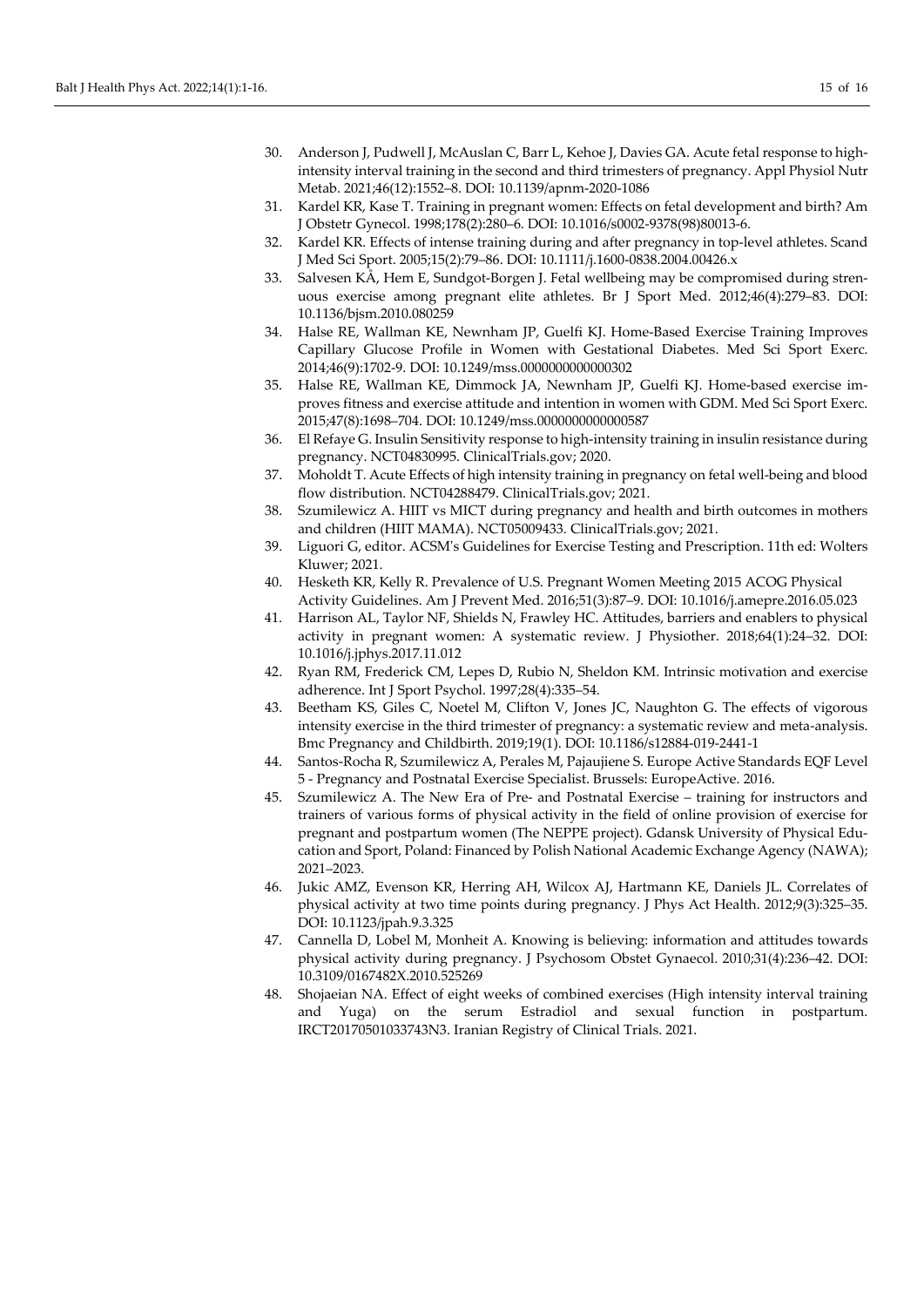- 30. Anderson J, Pudwell J, McAuslan C, Barr L, Kehoe J, Davies GA. Acute fetal response to highintensity interval training in the second and third trimesters of pregnancy. Appl Physiol Nutr Metab. 2021;46(12):1552–8. DOI[: 10.1139/apnm-2020-1086](https://doi.org/10.1139/apnm-2020-1086)
- 31. Kardel KR, Kase T. Training in pregnant women: Effects on fetal development and birth? Am J Obstetr Gynecol. 1998;178(2):280–6. DOI[: 10.1016/s0002-9378\(98\)80013-6.](https://doi.org/10.1016/S0002-9378(98)80013-6)
- 32. Kardel KR. Effects of intense training during and after pregnancy in top-level athletes. Scand J Med Sci Sport. 2005;15(2):79–86. DOI: [10.1111/j.1600-0838.2004.00426.x](https://doi.org/10.1111/j.1600-0838.2004.00426.x)
- 33. Salvesen KÅ, Hem E, Sundgot-Borgen J. Fetal wellbeing may be compromised during strenuous exercise among pregnant elite athletes. Br J Sport Med. 2012;46(4):279–83. DOI: [10.1136/bjsm.2010.080259](https://doi.org/10.1136/bjsm.2010.080259)
- 34. Halse RE, Wallman KE, Newnham JP, Guelfi KJ. Home-Based Exercise Training Improves Capillary Glucose Profile in Women with Gestational Diabetes. Med Sci Sport Exerc. 2014;46(9):1702-9. DOI[: 10.1249/mss.0000000000000302](https://doi.org/10.1249/MSS.0000000000000302)
- 35. Halse RE, Wallman KE, Dimmock JA, Newnham JP, Guelfi KJ. Home-based exercise improves fitness and exercise attitude and intention in women with GDM. Med Sci Sport Exerc. 2015;47(8):1698–704. DOI: [10.1249/mss.0000000000000587](https://doi.org/10.1249/MSS.0000000000000587)
- 36. El Refaye G. Insulin Sensitivity response to high-intensity training in insulin resistance during pregnancy. NCT04830995. ClinicalTrials.gov; 2020.
- 37. Moholdt T. Acute Effects of high intensity training in pregnancy on fetal well-being and blood flow distribution. NCT04288479. ClinicalTrials.gov; 2021.
- 38. Szumilewicz A. HIIT vs MICT during pregnancy and health and birth outcomes in mothers and children (HIIT MAMA). NCT05009433. ClinicalTrials.gov; 2021.
- 39. Liguori G, editor. ACSM's Guidelines for Exercise Testing and Prescription. 11th ed: Wolters Kluwer; 2021.
- 40. Hesketh KR, Kelly R. Prevalence of U.S. Pregnant Women Meeting 2015 ACOG Physical Activity Guidelines. Am J Prevent Med. 2016;51(3):87–9. DOI[: 10.1016/j.amepre.2016.05.023](https://doi.org/10.1016/j.amepre.2016.05.023)
- 41. Harrison AL, Taylor NF, Shields N, Frawley HC. Attitudes, barriers and enablers to physical activity in pregnant women: A systematic review. J Physiother. 2018;64(1):24–32. DOI: [10.1016/j.jphys.2017.11.012](https://doi.org/10.1016/j.jphys.2017.11.012)
- 42. Ryan RM, Frederick CM, Lepes D, Rubio N, Sheldon KM. Intrinsic motivation and exercise adherence. Int J Sport Psychol. 1997;28(4):335–54.
- 43. Beetham KS, Giles C, Noetel M, Clifton V, Jones JC, Naughton G. The effects of vigorous intensity exercise in the third trimester of pregnancy: a systematic review and meta-analysis. Bmc Pregnancy and Childbirth. 2019;19(1). DOI[: 10.1186/s12884-019-2441-1](https://doi.org/10.1186/s12884-019-2441-1)
- 44. Santos-Rocha R, Szumilewicz A, Perales M, Pajaujiene S. Europe Active Standards EQF Level 5 - Pregnancy and Postnatal Exercise Specialist. Brussels: EuropeActive. 2016.
- 45. Szumilewicz A. The New Era of Pre- and Postnatal Exercise training for instructors and trainers of various forms of physical activity in the field of online provision of exercise for pregnant and postpartum women (The NEPPE project). Gdansk University of Physical Education and Sport, Poland: Financed by Polish National Academic Exchange Agency (NAWA); 2021–2023.
- 46. Jukic AMZ, Evenson KR, Herring AH, Wilcox AJ, Hartmann KE, Daniels JL. Correlates of physical activity at two time points during pregnancy. J Phys Act Health. 2012;9(3):325–35. DOI[: 10.1123/jpah.9.3.325](https://doi.org/10.1123/jpah.9.3.325)
- 47. Cannella D, Lobel M, Monheit A. Knowing is believing: information and attitudes towards physical activity during pregnancy. J Psychosom Obstet Gynaecol. 2010;31(4):236–42. DOI: [10.3109/0167482X.2010.525269](https://doi.org/10.3109/0167482X.2010.525269)
- 48. Shojaeian NA. Effect of eight weeks of combined exercises (High intensity interval training and Yuga) on the serum Estradiol and sexual function in postpartum. IRCT20170501033743N3. Iranian Registry of Clinical Trials. 2021.